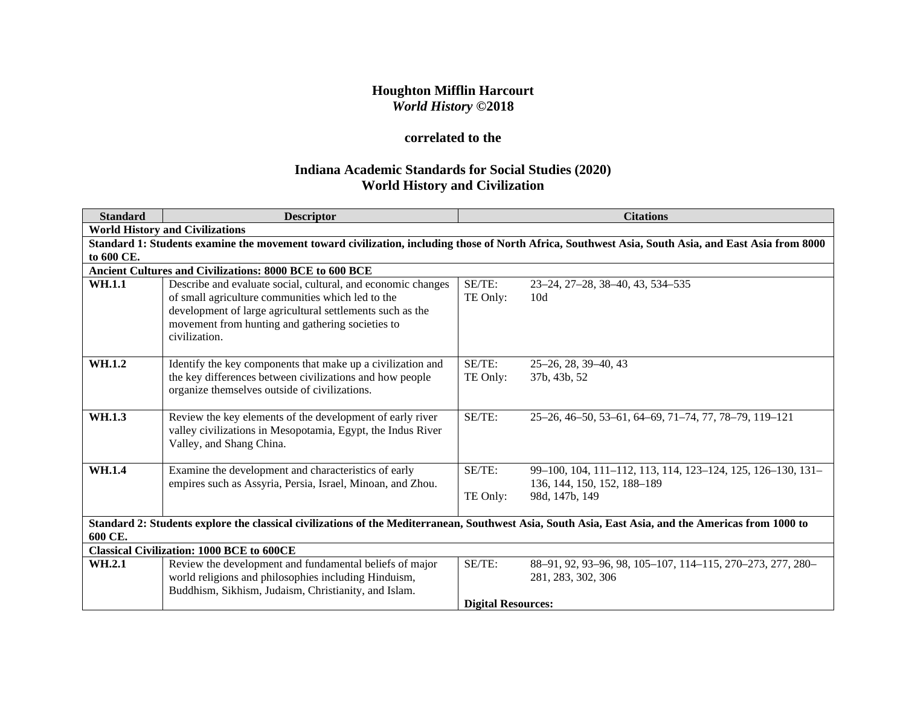# **Houghton Mifflin Harcourt** *World History* **©2018**

# **correlated to the**

# **Indiana Academic Standards for Social Studies (2020) World History and Civilization**

| <b>Standard</b> | <b>Descriptor</b>                                                                                                                                   |                           | <b>Citations</b>                                                                                                                                    |  |  |
|-----------------|-----------------------------------------------------------------------------------------------------------------------------------------------------|---------------------------|-----------------------------------------------------------------------------------------------------------------------------------------------------|--|--|
|                 | <b>World History and Civilizations</b>                                                                                                              |                           |                                                                                                                                                     |  |  |
|                 |                                                                                                                                                     |                           | Standard 1: Students examine the movement toward civilization, including those of North Africa, Southwest Asia, South Asia, and East Asia from 8000 |  |  |
| to 600 CE.      |                                                                                                                                                     |                           |                                                                                                                                                     |  |  |
|                 | Ancient Cultures and Civilizations: 8000 BCE to 600 BCE                                                                                             |                           |                                                                                                                                                     |  |  |
| <b>WH.1.1</b>   | Describe and evaluate social, cultural, and economic changes                                                                                        | SE/TE:                    | 23–24, 27–28, 38–40, 43, 534–535                                                                                                                    |  |  |
|                 | of small agriculture communities which led to the                                                                                                   | TE Only:                  | 10d                                                                                                                                                 |  |  |
|                 | development of large agricultural settlements such as the                                                                                           |                           |                                                                                                                                                     |  |  |
|                 | movement from hunting and gathering societies to                                                                                                    |                           |                                                                                                                                                     |  |  |
|                 | civilization.                                                                                                                                       |                           |                                                                                                                                                     |  |  |
| WH.1.2          | Identify the key components that make up a civilization and                                                                                         | SE/TE:                    | $25-26$ , 28, 39-40, 43                                                                                                                             |  |  |
|                 | the key differences between civilizations and how people                                                                                            | TE Only:                  | 37b, 43b, 52                                                                                                                                        |  |  |
|                 | organize themselves outside of civilizations.                                                                                                       |                           |                                                                                                                                                     |  |  |
|                 |                                                                                                                                                     |                           |                                                                                                                                                     |  |  |
| WH.1.3          | Review the key elements of the development of early river                                                                                           | SE/TE:                    | 25-26, 46-50, 53-61, 64-69, 71-74, 77, 78-79, 119-121                                                                                               |  |  |
|                 | valley civilizations in Mesopotamia, Egypt, the Indus River                                                                                         |                           |                                                                                                                                                     |  |  |
|                 | Valley, and Shang China.                                                                                                                            |                           |                                                                                                                                                     |  |  |
| <b>WH.1.4</b>   | Examine the development and characteristics of early                                                                                                | SE/TE:                    | 99-100, 104, 111-112, 113, 114, 123-124, 125, 126-130, 131-                                                                                         |  |  |
|                 | empires such as Assyria, Persia, Israel, Minoan, and Zhou.                                                                                          |                           | 136, 144, 150, 152, 188–189                                                                                                                         |  |  |
|                 |                                                                                                                                                     | TE Only:                  | 98d, 147b, 149                                                                                                                                      |  |  |
|                 |                                                                                                                                                     |                           |                                                                                                                                                     |  |  |
|                 | Standard 2: Students explore the classical civilizations of the Mediterranean, Southwest Asia, South Asia, East Asia, and the Americas from 1000 to |                           |                                                                                                                                                     |  |  |
| 600 CE.         |                                                                                                                                                     |                           |                                                                                                                                                     |  |  |
|                 | <b>Classical Civilization: 1000 BCE to 600CE</b>                                                                                                    |                           |                                                                                                                                                     |  |  |
| WH.2.1          | Review the development and fundamental beliefs of major                                                                                             | SE/TE:                    | 88-91, 92, 93-96, 98, 105-107, 114-115, 270-273, 277, 280-                                                                                          |  |  |
|                 | world religions and philosophies including Hinduism,                                                                                                |                           | 281, 283, 302, 306                                                                                                                                  |  |  |
|                 | Buddhism, Sikhism, Judaism, Christianity, and Islam.                                                                                                |                           |                                                                                                                                                     |  |  |
|                 |                                                                                                                                                     | <b>Digital Resources:</b> |                                                                                                                                                     |  |  |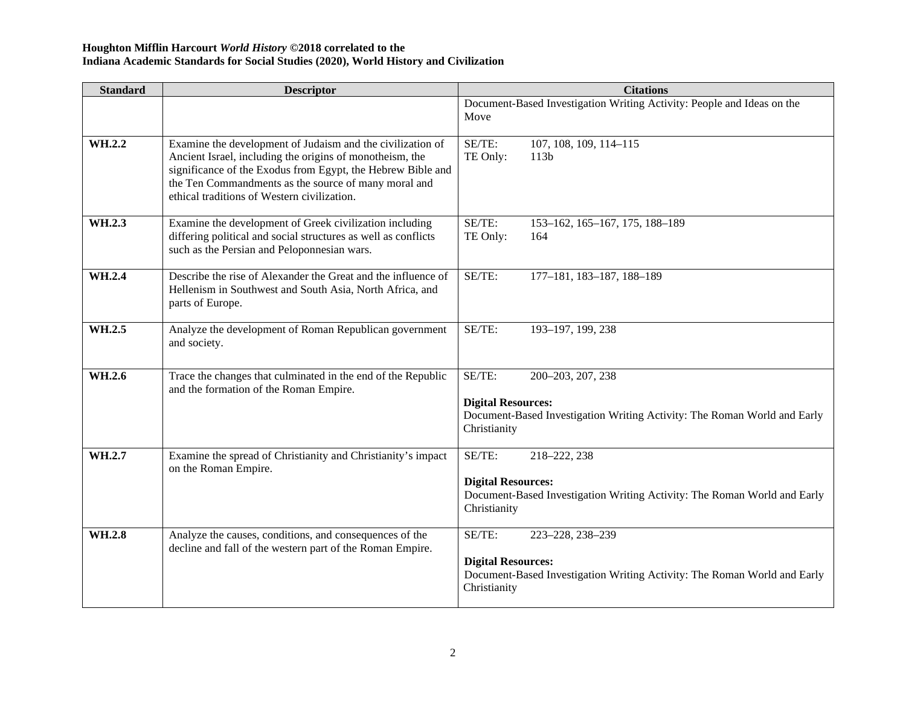| <b>Standard</b> | <b>Descriptor</b>                                                                                                                                                                                                                                                                            | <b>Citations</b>                                                                                                                                     |
|-----------------|----------------------------------------------------------------------------------------------------------------------------------------------------------------------------------------------------------------------------------------------------------------------------------------------|------------------------------------------------------------------------------------------------------------------------------------------------------|
|                 |                                                                                                                                                                                                                                                                                              | Document-Based Investigation Writing Activity: People and Ideas on the<br>Move                                                                       |
| WH.2.2          | Examine the development of Judaism and the civilization of<br>Ancient Israel, including the origins of monotheism, the<br>significance of the Exodus from Egypt, the Hebrew Bible and<br>the Ten Commandments as the source of many moral and<br>ethical traditions of Western civilization. | SE/TE:<br>107, 108, 109, 114-115<br>TE Only:<br>113 <sub>b</sub>                                                                                     |
| WH.2.3          | Examine the development of Greek civilization including<br>differing political and social structures as well as conflicts<br>such as the Persian and Peloponnesian wars.                                                                                                                     | SE/TE:<br>153-162, 165-167, 175, 188-189<br>TE Only:<br>164                                                                                          |
| WH.2.4          | Describe the rise of Alexander the Great and the influence of<br>Hellenism in Southwest and South Asia, North Africa, and<br>parts of Europe.                                                                                                                                                | SE/TE:<br>177-181, 183-187, 188-189                                                                                                                  |
| WH.2.5          | Analyze the development of Roman Republican government<br>and society.                                                                                                                                                                                                                       | SE/TE:<br>193-197, 199, 238                                                                                                                          |
| WH.2.6          | Trace the changes that culminated in the end of the Republic<br>and the formation of the Roman Empire.                                                                                                                                                                                       | SE/TE:<br>200-203, 207, 238<br><b>Digital Resources:</b><br>Document-Based Investigation Writing Activity: The Roman World and Early<br>Christianity |
| WH.2.7          | Examine the spread of Christianity and Christianity's impact<br>on the Roman Empire.                                                                                                                                                                                                         | SE/TE:<br>218-222, 238<br><b>Digital Resources:</b><br>Document-Based Investigation Writing Activity: The Roman World and Early<br>Christianity      |
| WH.2.8          | Analyze the causes, conditions, and consequences of the<br>decline and fall of the western part of the Roman Empire.                                                                                                                                                                         | SE/TE:<br>223-228, 238-239<br><b>Digital Resources:</b><br>Document-Based Investigation Writing Activity: The Roman World and Early<br>Christianity  |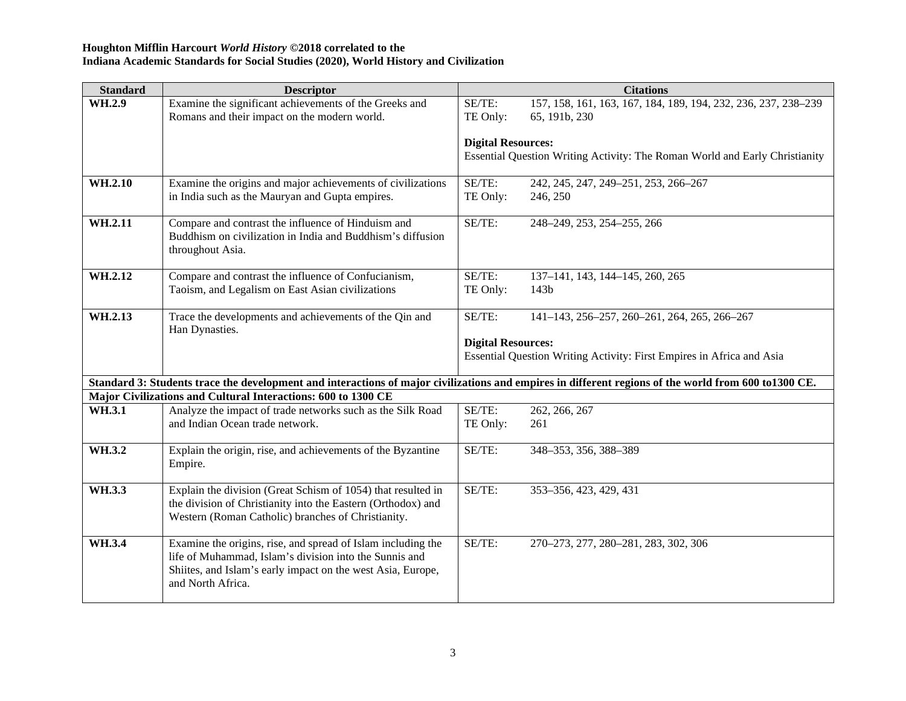| <b>Standard</b> | <b>Descriptor</b>                                                                                                                                                                                          |                           | <b>Citations</b>                                                                                                                                     |
|-----------------|------------------------------------------------------------------------------------------------------------------------------------------------------------------------------------------------------------|---------------------------|------------------------------------------------------------------------------------------------------------------------------------------------------|
| WH.2.9          | Examine the significant achievements of the Greeks and<br>Romans and their impact on the modern world.                                                                                                     | SE/TE:<br>TE Only:        | 157, 158, 161, 163, 167, 184, 189, 194, 232, 236, 237, 238-239<br>65, 191b, 230                                                                      |
|                 |                                                                                                                                                                                                            |                           |                                                                                                                                                      |
|                 |                                                                                                                                                                                                            | <b>Digital Resources:</b> |                                                                                                                                                      |
|                 |                                                                                                                                                                                                            |                           | Essential Question Writing Activity: The Roman World and Early Christianity                                                                          |
| WH.2.10         | Examine the origins and major achievements of civilizations                                                                                                                                                | SE/TE:                    | 242, 245, 247, 249-251, 253, 266-267                                                                                                                 |
|                 | in India such as the Mauryan and Gupta empires.                                                                                                                                                            | TE Only:                  | 246, 250                                                                                                                                             |
| WH.2.11         | Compare and contrast the influence of Hinduism and<br>Buddhism on civilization in India and Buddhism's diffusion<br>throughout Asia.                                                                       | SE/TE:                    | 248-249, 253, 254-255, 266                                                                                                                           |
| WH.2.12         | Compare and contrast the influence of Confucianism,<br>Taoism, and Legalism on East Asian civilizations                                                                                                    | SE/TE:<br>TE Only:        | 137-141, 143, 144-145, 260, 265<br>143 <sub>b</sub>                                                                                                  |
| WH.2.13         | Trace the developments and achievements of the Qin and<br>Han Dynasties.                                                                                                                                   | SE/TE:                    | 141-143, 256-257, 260-261, 264, 265, 266-267                                                                                                         |
|                 |                                                                                                                                                                                                            | <b>Digital Resources:</b> | Essential Question Writing Activity: First Empires in Africa and Asia                                                                                |
|                 |                                                                                                                                                                                                            |                           | Standard 3: Students trace the development and interactions of major civilizations and empires in different regions of the world from 600 to1300 CE. |
|                 | Major Civilizations and Cultural Interactions: 600 to 1300 CE                                                                                                                                              |                           |                                                                                                                                                      |
| WH.3.1          | Analyze the impact of trade networks such as the Silk Road<br>and Indian Ocean trade network.                                                                                                              | SE/TE:<br>TE Only:        | 262, 266, 267<br>261                                                                                                                                 |
| WH.3.2          | Explain the origin, rise, and achievements of the Byzantine<br>Empire.                                                                                                                                     | SE/TE:                    | 348-353, 356, 388-389                                                                                                                                |
| WH.3.3          | Explain the division (Great Schism of 1054) that resulted in<br>the division of Christianity into the Eastern (Orthodox) and<br>Western (Roman Catholic) branches of Christianity.                         | SE/TE:                    | 353-356, 423, 429, 431                                                                                                                               |
| WH.3.4          | Examine the origins, rise, and spread of Islam including the<br>life of Muhammad, Islam's division into the Sunnis and<br>Shiites, and Islam's early impact on the west Asia, Europe,<br>and North Africa. | SE/TE:                    | 270-273, 277, 280-281, 283, 302, 306                                                                                                                 |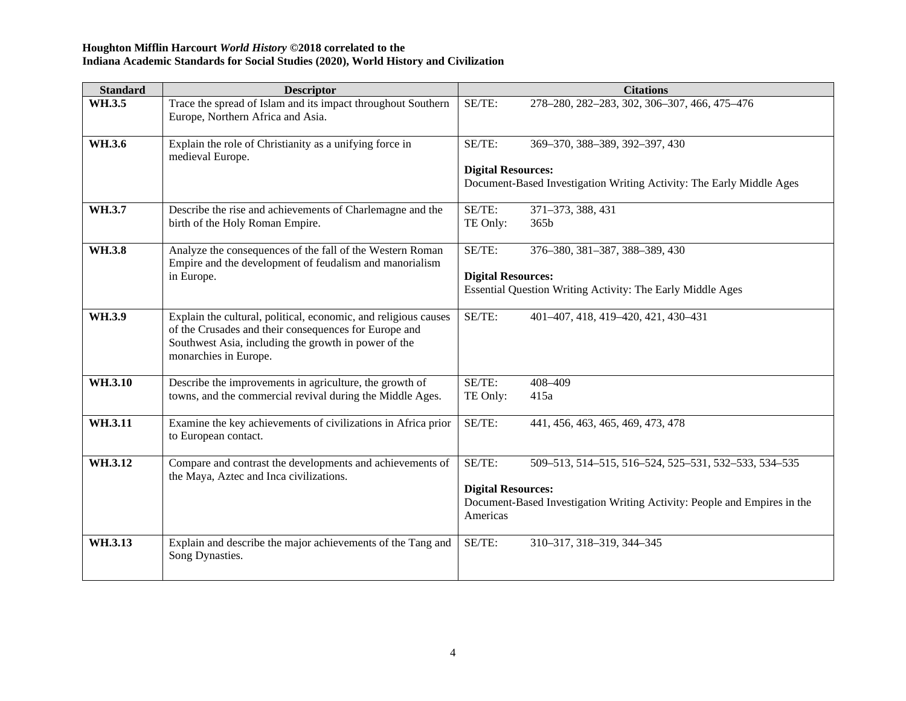| <b>Standard</b> | <b>Descriptor</b>                                                                                                                                                                                         | <b>Citations</b>                                                                                                  |
|-----------------|-----------------------------------------------------------------------------------------------------------------------------------------------------------------------------------------------------------|-------------------------------------------------------------------------------------------------------------------|
| WH.3.5          | Trace the spread of Islam and its impact throughout Southern<br>Europe, Northern Africa and Asia.                                                                                                         | SE/TE:<br>278-280, 282-283, 302, 306-307, 466, 475-476                                                            |
| WH.3.6          | Explain the role of Christianity as a unifying force in<br>medieval Europe.                                                                                                                               | SE/TE:<br>369-370, 388-389, 392-397, 430                                                                          |
|                 |                                                                                                                                                                                                           | <b>Digital Resources:</b><br>Document-Based Investigation Writing Activity: The Early Middle Ages                 |
| WH.3.7          | Describe the rise and achievements of Charlemagne and the<br>birth of the Holy Roman Empire.                                                                                                              | SE/TE:<br>371-373, 388, 431<br>TE Only:<br>365 <sub>b</sub>                                                       |
| WH.3.8          | Analyze the consequences of the fall of the Western Roman<br>Empire and the development of feudalism and manorialism                                                                                      | SE/TE:<br>376-380, 381-387, 388-389, 430                                                                          |
|                 | in Europe.                                                                                                                                                                                                | <b>Digital Resources:</b><br>Essential Question Writing Activity: The Early Middle Ages                           |
| WH.3.9          | Explain the cultural, political, economic, and religious causes<br>of the Crusades and their consequences for Europe and<br>Southwest Asia, including the growth in power of the<br>monarchies in Europe. | $SE/TE$ :<br>401-407, 418, 419-420, 421, 430-431                                                                  |
| WH.3.10         | Describe the improvements in agriculture, the growth of<br>towns, and the commercial revival during the Middle Ages.                                                                                      | SE/TE:<br>408-409<br>TE Only:<br>415a                                                                             |
| WH.3.11         | Examine the key achievements of civilizations in Africa prior<br>to European contact.                                                                                                                     | SE/TE:<br>441, 456, 463, 465, 469, 473, 478                                                                       |
| WH.3.12         | Compare and contrast the developments and achievements of<br>the Maya, Aztec and Inca civilizations.                                                                                                      | SE/TE:<br>509-513, 514-515, 516-524, 525-531, 532-533, 534-535                                                    |
|                 |                                                                                                                                                                                                           | <b>Digital Resources:</b><br>Document-Based Investigation Writing Activity: People and Empires in the<br>Americas |
| WH.3.13         | Explain and describe the major achievements of the Tang and<br>Song Dynasties.                                                                                                                            | 310-317, 318-319, 344-345<br>SE/TE:                                                                               |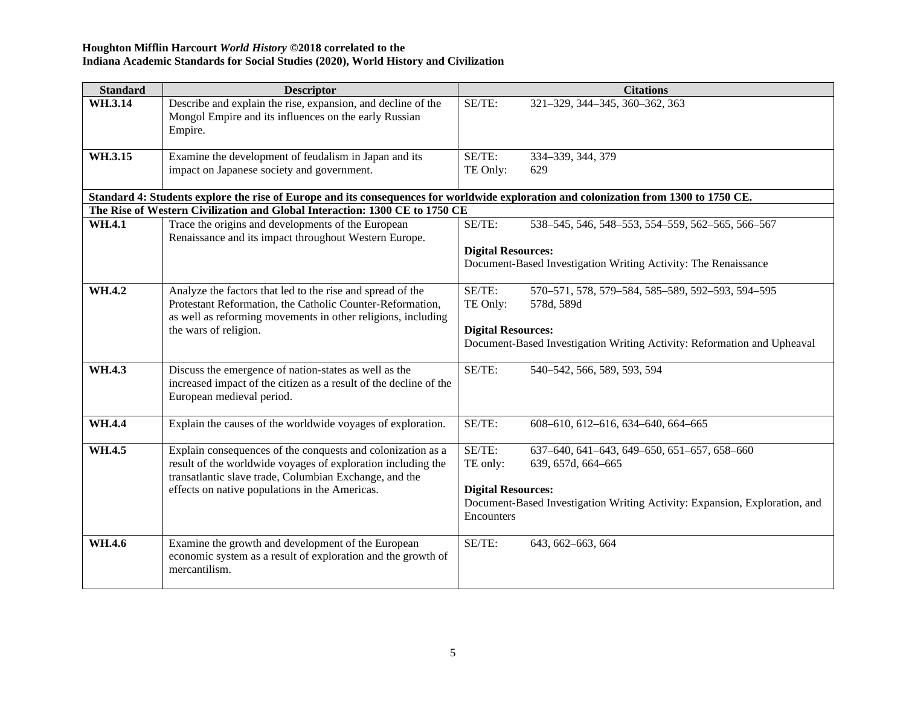| <b>Standard</b> | <b>Descriptor</b>                                                                                                                                                                                                                       |                                                               | <b>Citations</b>                                                                                                                                |
|-----------------|-----------------------------------------------------------------------------------------------------------------------------------------------------------------------------------------------------------------------------------------|---------------------------------------------------------------|-------------------------------------------------------------------------------------------------------------------------------------------------|
| WH.3.14         | Describe and explain the rise, expansion, and decline of the<br>Mongol Empire and its influences on the early Russian<br>Empire.                                                                                                        | SE/TE:                                                        | 321-329, 344-345, 360-362, 363                                                                                                                  |
| WH.3.15         | Examine the development of feudalism in Japan and its<br>impact on Japanese society and government.                                                                                                                                     | SE/TE:<br>TE Only:                                            | 334-339, 344, 379<br>629                                                                                                                        |
|                 | Standard 4: Students explore the rise of Europe and its consequences for worldwide exploration and colonization from 1300 to 1750 CE.                                                                                                   |                                                               |                                                                                                                                                 |
|                 | The Rise of Western Civilization and Global Interaction: 1300 CE to 1750 CE                                                                                                                                                             |                                                               |                                                                                                                                                 |
| WH.4.1          | Trace the origins and developments of the European                                                                                                                                                                                      | SE/TE:                                                        | 538-545, 546, 548-553, 554-559, 562-565, 566-567                                                                                                |
|                 | Renaissance and its impact throughout Western Europe.                                                                                                                                                                                   | <b>Digital Resources:</b>                                     | Document-Based Investigation Writing Activity: The Renaissance                                                                                  |
| WH.4.2          | Analyze the factors that led to the rise and spread of the<br>Protestant Reformation, the Catholic Counter-Reformation,<br>as well as reforming movements in other religions, including<br>the wars of religion.                        | SE/TE:<br>TE Only:<br><b>Digital Resources:</b>               | 570-571, 578, 579-584, 585-589, 592-593, 594-595<br>578d, 589d<br>Document-Based Investigation Writing Activity: Reformation and Upheaval       |
| WH.4.3          | Discuss the emergence of nation-states as well as the<br>increased impact of the citizen as a result of the decline of the<br>European medieval period.                                                                                 | SE/TE:                                                        | 540-542, 566, 589, 593, 594                                                                                                                     |
| <b>WH.4.4</b>   | Explain the causes of the worldwide voyages of exploration.                                                                                                                                                                             | SE/TE:                                                        | 608-610, 612-616, 634-640, 664-665                                                                                                              |
| WH.4.5          | Explain consequences of the conquests and colonization as a<br>result of the worldwide voyages of exploration including the<br>transatlantic slave trade, Columbian Exchange, and the<br>effects on native populations in the Americas. | SE/TE:<br>TE only:<br><b>Digital Resources:</b><br>Encounters | 637-640, 641-643, 649-650, 651-657, 658-660<br>639, 657d, 664-665<br>Document-Based Investigation Writing Activity: Expansion, Exploration, and |
| <b>WH.4.6</b>   | Examine the growth and development of the European<br>economic system as a result of exploration and the growth of<br>mercantilism.                                                                                                     | SE/TE:                                                        | 643, 662-663, 664                                                                                                                               |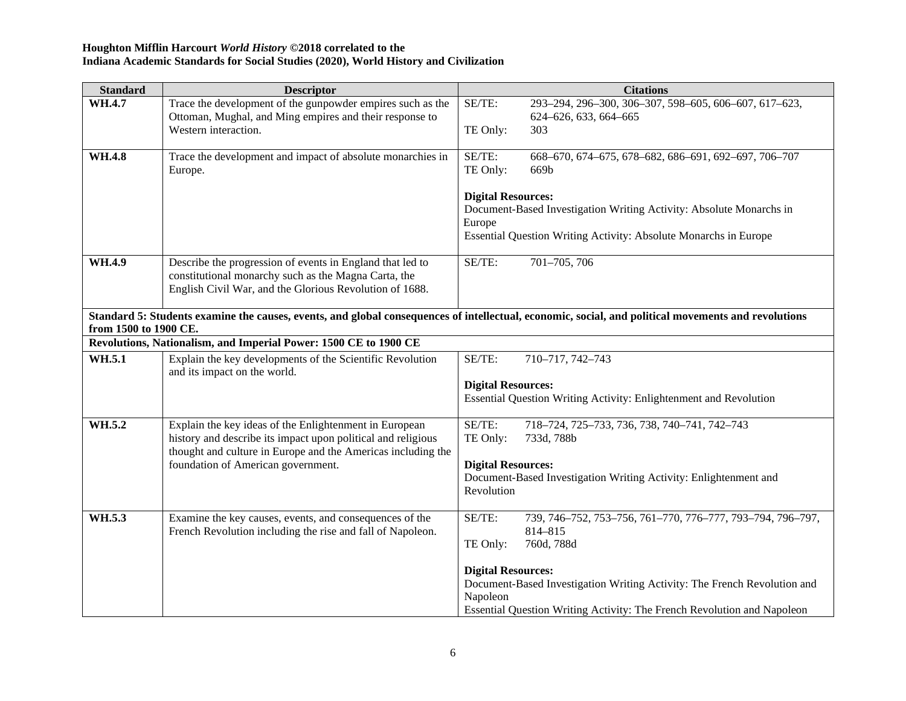| <b>Standard</b>       | <b>Descriptor</b>                                                     | <b>Citations</b>                                                                                                                                    |
|-----------------------|-----------------------------------------------------------------------|-----------------------------------------------------------------------------------------------------------------------------------------------------|
| WH.4.7                | Trace the development of the gunpowder empires such as the            | SE/TE:<br>293-294, 296-300, 306-307, 598-605, 606-607, 617-623,                                                                                     |
|                       | Ottoman, Mughal, and Ming empires and their response to               | 624-626, 633, 664-665                                                                                                                               |
|                       | Western interaction.                                                  | TE Only:<br>303                                                                                                                                     |
| <b>WH.4.8</b>         |                                                                       | SE/TE:                                                                                                                                              |
|                       | Trace the development and impact of absolute monarchies in<br>Europe. | 668-670, 674-675, 678-682, 686-691, 692-697, 706-707<br>TE Only:<br>669b                                                                            |
|                       |                                                                       |                                                                                                                                                     |
|                       |                                                                       | <b>Digital Resources:</b>                                                                                                                           |
|                       |                                                                       | Document-Based Investigation Writing Activity: Absolute Monarchs in                                                                                 |
|                       |                                                                       | Europe                                                                                                                                              |
|                       |                                                                       | Essential Question Writing Activity: Absolute Monarchs in Europe                                                                                    |
| WH.4.9                | Describe the progression of events in England that led to             | 701-705, 706<br>SE/TE:                                                                                                                              |
|                       | constitutional monarchy such as the Magna Carta, the                  |                                                                                                                                                     |
|                       | English Civil War, and the Glorious Revolution of 1688.               |                                                                                                                                                     |
|                       |                                                                       |                                                                                                                                                     |
| from 1500 to 1900 CE. |                                                                       | Standard 5: Students examine the causes, events, and global consequences of intellectual, economic, social, and political movements and revolutions |
|                       | Revolutions, Nationalism, and Imperial Power: 1500 CE to 1900 CE      |                                                                                                                                                     |
| WH.5.1                | Explain the key developments of the Scientific Revolution             | SE/TE:<br>710-717, 742-743                                                                                                                          |
|                       | and its impact on the world.                                          |                                                                                                                                                     |
|                       |                                                                       | <b>Digital Resources:</b>                                                                                                                           |
|                       |                                                                       | Essential Question Writing Activity: Enlightenment and Revolution                                                                                   |
| WH.5.2                | Explain the key ideas of the Enlightenment in European                | SE/TE:<br>718-724, 725-733, 736, 738, 740-741, 742-743                                                                                              |
|                       | history and describe its impact upon political and religious          | TE Only:<br>733d, 788b                                                                                                                              |
|                       | thought and culture in Europe and the Americas including the          |                                                                                                                                                     |
|                       | foundation of American government.                                    | <b>Digital Resources:</b>                                                                                                                           |
|                       |                                                                       | Document-Based Investigation Writing Activity: Enlightenment and<br>Revolution                                                                      |
|                       |                                                                       |                                                                                                                                                     |
| WH.5.3                | Examine the key causes, events, and consequences of the               | SE/TE:<br>739, 746-752, 753-756, 761-770, 776-777, 793-794, 796-797,                                                                                |
|                       | French Revolution including the rise and fall of Napoleon.            | 814-815                                                                                                                                             |
|                       |                                                                       | 760d, 788d<br>TE Only:                                                                                                                              |
|                       |                                                                       | <b>Digital Resources:</b>                                                                                                                           |
|                       |                                                                       | Document-Based Investigation Writing Activity: The French Revolution and                                                                            |
|                       |                                                                       | Napoleon                                                                                                                                            |
|                       |                                                                       | Essential Question Writing Activity: The French Revolution and Napoleon                                                                             |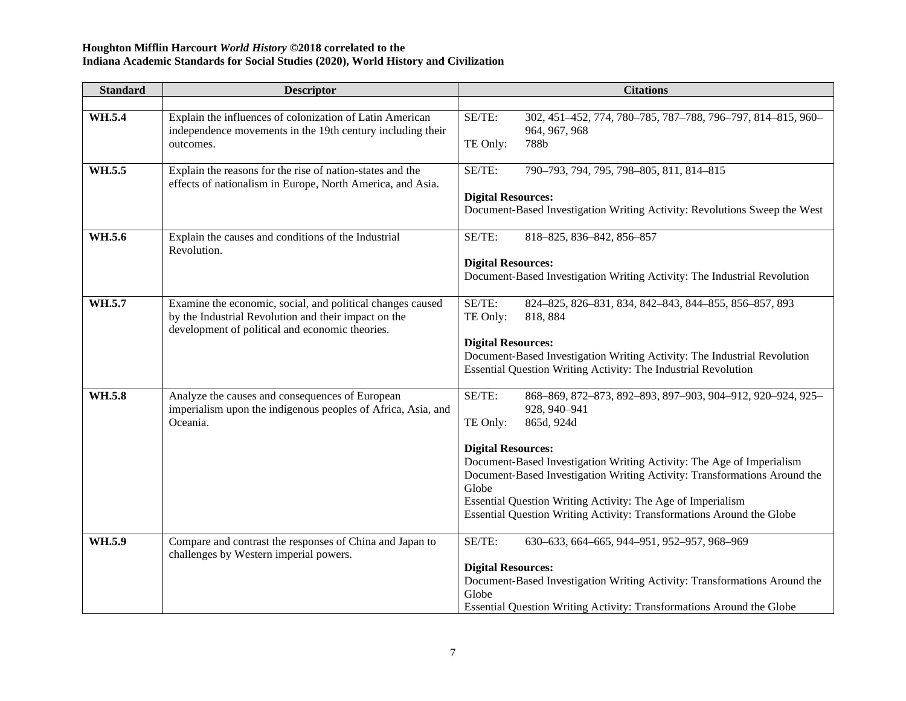| <b>Standard</b> | <b>Descriptor</b>                                                                                                                                                     | <b>Citations</b>                                                                                                                                                                                                                                                                                                                                                                                                                                   |  |  |
|-----------------|-----------------------------------------------------------------------------------------------------------------------------------------------------------------------|----------------------------------------------------------------------------------------------------------------------------------------------------------------------------------------------------------------------------------------------------------------------------------------------------------------------------------------------------------------------------------------------------------------------------------------------------|--|--|
|                 |                                                                                                                                                                       |                                                                                                                                                                                                                                                                                                                                                                                                                                                    |  |  |
| WH.5.4          | Explain the influences of colonization of Latin American<br>independence movements in the 19th century including their<br>outcomes.                                   | SE/TE:<br>302, 451-452, 774, 780-785, 787-788, 796-797, 814-815, 960-<br>964, 967, 968<br>788b<br>TE Only:                                                                                                                                                                                                                                                                                                                                         |  |  |
| WH.5.5          | Explain the reasons for the rise of nation-states and the<br>effects of nationalism in Europe, North America, and Asia.                                               | SE/TE:<br>790-793, 794, 795, 798-805, 811, 814-815<br><b>Digital Resources:</b><br>Document-Based Investigation Writing Activity: Revolutions Sweep the West                                                                                                                                                                                                                                                                                       |  |  |
| WH.5.6          | Explain the causes and conditions of the Industrial<br>Revolution.                                                                                                    | SE/TE:<br>818-825, 836-842, 856-857<br><b>Digital Resources:</b><br>Document-Based Investigation Writing Activity: The Industrial Revolution                                                                                                                                                                                                                                                                                                       |  |  |
| WH.5.7          | Examine the economic, social, and political changes caused<br>by the Industrial Revolution and their impact on the<br>development of political and economic theories. | SE/TE:<br>824-825, 826-831, 834, 842-843, 844-855, 856-857, 893<br>TE Only:<br>818, 884<br><b>Digital Resources:</b><br>Document-Based Investigation Writing Activity: The Industrial Revolution<br>Essential Question Writing Activity: The Industrial Revolution                                                                                                                                                                                 |  |  |
| WH.5.8          | Analyze the causes and consequences of European<br>imperialism upon the indigenous peoples of Africa, Asia, and<br>Oceania.                                           | SE/TE:<br>868-869, 872-873, 892-893, 897-903, 904-912, 920-924, 925-<br>928, 940-941<br>865d, 924d<br>TE Only:<br><b>Digital Resources:</b><br>Document-Based Investigation Writing Activity: The Age of Imperialism<br>Document-Based Investigation Writing Activity: Transformations Around the<br>Globe<br>Essential Question Writing Activity: The Age of Imperialism<br>Essential Question Writing Activity: Transformations Around the Globe |  |  |
| WH.5.9          | Compare and contrast the responses of China and Japan to<br>challenges by Western imperial powers.                                                                    | SE/TE:<br>630-633, 664-665, 944-951, 952-957, 968-969<br><b>Digital Resources:</b><br>Document-Based Investigation Writing Activity: Transformations Around the<br>Globe<br>Essential Question Writing Activity: Transformations Around the Globe                                                                                                                                                                                                  |  |  |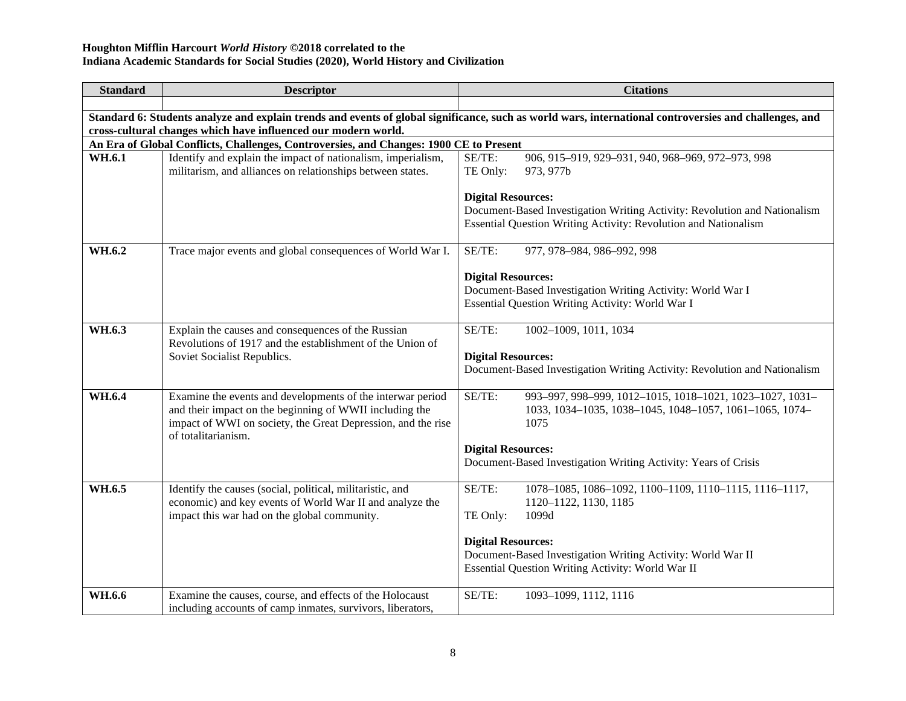| <b>Standard</b> | <b>Descriptor</b>                                                                                                                                                                                            | <b>Citations</b>                                                                                                                                                                                                                                                |  |  |  |  |
|-----------------|--------------------------------------------------------------------------------------------------------------------------------------------------------------------------------------------------------------|-----------------------------------------------------------------------------------------------------------------------------------------------------------------------------------------------------------------------------------------------------------------|--|--|--|--|
|                 |                                                                                                                                                                                                              |                                                                                                                                                                                                                                                                 |  |  |  |  |
|                 | Standard 6: Students analyze and explain trends and events of global significance, such as world wars, international controversies and challenges, and                                                       |                                                                                                                                                                                                                                                                 |  |  |  |  |
|                 | cross-cultural changes which have influenced our modern world.                                                                                                                                               |                                                                                                                                                                                                                                                                 |  |  |  |  |
|                 | An Era of Global Conflicts, Challenges, Controversies, and Changes: 1900 CE to Present                                                                                                                       |                                                                                                                                                                                                                                                                 |  |  |  |  |
| WH.6.1          | Identify and explain the impact of nationalism, imperialism,<br>militarism, and alliances on relationships between states.                                                                                   | SE/TE:<br>906, 915-919, 929-931, 940, 968-969, 972-973, 998<br>TE Only:<br>973, 977b                                                                                                                                                                            |  |  |  |  |
|                 |                                                                                                                                                                                                              | <b>Digital Resources:</b><br>Document-Based Investigation Writing Activity: Revolution and Nationalism<br>Essential Question Writing Activity: Revolution and Nationalism                                                                                       |  |  |  |  |
| WH.6.2          | Trace major events and global consequences of World War I.                                                                                                                                                   | SE/TE:<br>977, 978-984, 986-992, 998                                                                                                                                                                                                                            |  |  |  |  |
|                 |                                                                                                                                                                                                              | <b>Digital Resources:</b><br>Document-Based Investigation Writing Activity: World War I<br>Essential Question Writing Activity: World War I                                                                                                                     |  |  |  |  |
| WH.6.3          | Explain the causes and consequences of the Russian<br>Revolutions of 1917 and the establishment of the Union of<br>Soviet Socialist Republics.                                                               | SE/TE:<br>1002-1009, 1011, 1034<br><b>Digital Resources:</b><br>Document-Based Investigation Writing Activity: Revolution and Nationalism                                                                                                                       |  |  |  |  |
| WH.6.4          | Examine the events and developments of the interwar period<br>and their impact on the beginning of WWII including the<br>impact of WWI on society, the Great Depression, and the rise<br>of totalitarianism. | SE/TE:<br>993-997, 998-999, 1012-1015, 1018-1021, 1023-1027, 1031-<br>1033, 1034-1035, 1038-1045, 1048-1057, 1061-1065, 1074-<br>1075<br><b>Digital Resources:</b><br>Document-Based Investigation Writing Activity: Years of Crisis                            |  |  |  |  |
| WH.6.5          | Identify the causes (social, political, militaristic, and<br>economic) and key events of World War II and analyze the<br>impact this war had on the global community.                                        | SE/TE:<br>1078-1085, 1086-1092, 1100-1109, 1110-1115, 1116-1117,<br>1120-1122, 1130, 1185<br>1099d<br>TE Only:<br><b>Digital Resources:</b><br>Document-Based Investigation Writing Activity: World War II<br>Essential Question Writing Activity: World War II |  |  |  |  |
| WH.6.6          | Examine the causes, course, and effects of the Holocaust<br>including accounts of camp inmates, survivors, liberators,                                                                                       | SE/TE:<br>1093-1099, 1112, 1116                                                                                                                                                                                                                                 |  |  |  |  |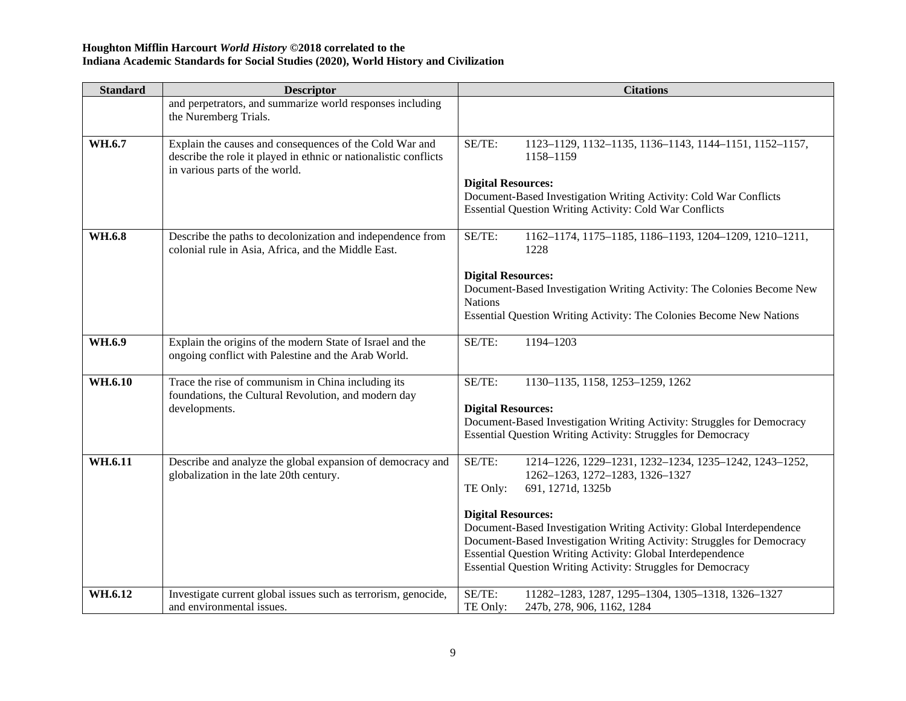| <b>Standard</b> | <b>Descriptor</b>                                                                                                                                             | <b>Citations</b>                                                                                                                                                                                                                                                                                                                                                                                                                                                  |
|-----------------|---------------------------------------------------------------------------------------------------------------------------------------------------------------|-------------------------------------------------------------------------------------------------------------------------------------------------------------------------------------------------------------------------------------------------------------------------------------------------------------------------------------------------------------------------------------------------------------------------------------------------------------------|
|                 | and perpetrators, and summarize world responses including<br>the Nuremberg Trials.                                                                            |                                                                                                                                                                                                                                                                                                                                                                                                                                                                   |
| WH.6.7          | Explain the causes and consequences of the Cold War and<br>describe the role it played in ethnic or nationalistic conflicts<br>in various parts of the world. | SE/TE:<br>1123-1129, 1132-1135, 1136-1143, 1144-1151, 1152-1157,<br>1158-1159<br><b>Digital Resources:</b><br>Document-Based Investigation Writing Activity: Cold War Conflicts<br><b>Essential Question Writing Activity: Cold War Conflicts</b>                                                                                                                                                                                                                 |
| WH.6.8          | Describe the paths to decolonization and independence from<br>colonial rule in Asia, Africa, and the Middle East.                                             | SE/TE:<br>1162-1174, 1175-1185, 1186-1193, 1204-1209, 1210-1211,<br>1228<br><b>Digital Resources:</b><br>Document-Based Investigation Writing Activity: The Colonies Become New<br><b>Nations</b><br>Essential Question Writing Activity: The Colonies Become New Nations                                                                                                                                                                                         |
| WH.6.9          | Explain the origins of the modern State of Israel and the<br>ongoing conflict with Palestine and the Arab World.                                              | 1194-1203<br>SE/TE:                                                                                                                                                                                                                                                                                                                                                                                                                                               |
| WH.6.10         | Trace the rise of communism in China including its<br>foundations, the Cultural Revolution, and modern day<br>developments.                                   | SE/TE:<br>1130-1135, 1158, 1253-1259, 1262<br><b>Digital Resources:</b><br>Document-Based Investigation Writing Activity: Struggles for Democracy<br><b>Essential Question Writing Activity: Struggles for Democracy</b>                                                                                                                                                                                                                                          |
| WH.6.11         | Describe and analyze the global expansion of democracy and<br>globalization in the late 20th century.                                                         | SE/TE:<br>1214-1226, 1229-1231, 1232-1234, 1235-1242, 1243-1252,<br>1262-1263, 1272-1283, 1326-1327<br>TE Only:<br>691, 1271d, 1325b<br><b>Digital Resources:</b><br>Document-Based Investigation Writing Activity: Global Interdependence<br>Document-Based Investigation Writing Activity: Struggles for Democracy<br><b>Essential Question Writing Activity: Global Interdependence</b><br><b>Essential Question Writing Activity: Struggles for Democracy</b> |
| WH.6.12         | Investigate current global issues such as terrorism, genocide,<br>and environmental issues.                                                                   | SE/TE:<br>11282-1283, 1287, 1295-1304, 1305-1318, 1326-1327<br>TE Only:<br>247b, 278, 906, 1162, 1284                                                                                                                                                                                                                                                                                                                                                             |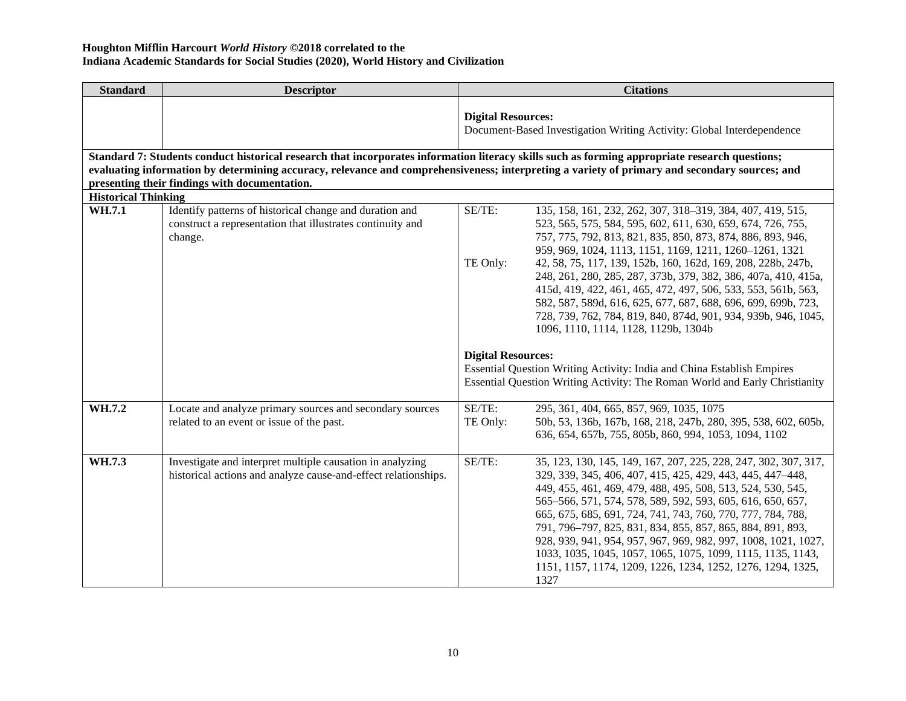| <b>Standard</b>            | <b>Descriptor</b>                                                                                                                                                                                                                                                                                                                                |                           | <b>Citations</b>                                                                                                                                                                                                                                                                                                                                                                                                                                                                                                                                                                                                                  |  |
|----------------------------|--------------------------------------------------------------------------------------------------------------------------------------------------------------------------------------------------------------------------------------------------------------------------------------------------------------------------------------------------|---------------------------|-----------------------------------------------------------------------------------------------------------------------------------------------------------------------------------------------------------------------------------------------------------------------------------------------------------------------------------------------------------------------------------------------------------------------------------------------------------------------------------------------------------------------------------------------------------------------------------------------------------------------------------|--|
|                            |                                                                                                                                                                                                                                                                                                                                                  | <b>Digital Resources:</b> | Document-Based Investigation Writing Activity: Global Interdependence                                                                                                                                                                                                                                                                                                                                                                                                                                                                                                                                                             |  |
|                            | Standard 7: Students conduct historical research that incorporates information literacy skills such as forming appropriate research questions;<br>evaluating information by determining accuracy, relevance and comprehensiveness; interpreting a variety of primary and secondary sources; and<br>presenting their findings with documentation. |                           |                                                                                                                                                                                                                                                                                                                                                                                                                                                                                                                                                                                                                                   |  |
| <b>Historical Thinking</b> |                                                                                                                                                                                                                                                                                                                                                  |                           |                                                                                                                                                                                                                                                                                                                                                                                                                                                                                                                                                                                                                                   |  |
| WH.7.1                     | Identify patterns of historical change and duration and<br>construct a representation that illustrates continuity and<br>change.                                                                                                                                                                                                                 | SE/TE:<br>TE Only:        | 135, 158, 161, 232, 262, 307, 318-319, 384, 407, 419, 515,<br>523, 565, 575, 584, 595, 602, 611, 630, 659, 674, 726, 755,<br>757, 775, 792, 813, 821, 835, 850, 873, 874, 886, 893, 946,<br>959, 969, 1024, 1113, 1151, 1169, 1211, 1260-1261, 1321<br>42, 58, 75, 117, 139, 152b, 160, 162d, 169, 208, 228b, 247b,<br>248, 261, 280, 285, 287, 373b, 379, 382, 386, 407a, 410, 415a,<br>415d, 419, 422, 461, 465, 472, 497, 506, 533, 553, 561b, 563,<br>582, 587, 589d, 616, 625, 677, 687, 688, 696, 699, 699b, 723,<br>728, 739, 762, 784, 819, 840, 874d, 901, 934, 939b, 946, 1045,<br>1096, 1110, 1114, 1128, 1129b, 1304b |  |
|                            |                                                                                                                                                                                                                                                                                                                                                  | <b>Digital Resources:</b> |                                                                                                                                                                                                                                                                                                                                                                                                                                                                                                                                                                                                                                   |  |
|                            |                                                                                                                                                                                                                                                                                                                                                  |                           | Essential Question Writing Activity: India and China Establish Empires<br>Essential Question Writing Activity: The Roman World and Early Christianity                                                                                                                                                                                                                                                                                                                                                                                                                                                                             |  |
| WH.7.2                     | Locate and analyze primary sources and secondary sources<br>related to an event or issue of the past.                                                                                                                                                                                                                                            | SE/TE:<br>TE Only:        | 295, 361, 404, 665, 857, 969, 1035, 1075<br>50b, 53, 136b, 167b, 168, 218, 247b, 280, 395, 538, 602, 605b,<br>636, 654, 657b, 755, 805b, 860, 994, 1053, 1094, 1102                                                                                                                                                                                                                                                                                                                                                                                                                                                               |  |
| WH.7.3                     | Investigate and interpret multiple causation in analyzing<br>historical actions and analyze cause-and-effect relationships.                                                                                                                                                                                                                      | SE/TE:                    | 35, 123, 130, 145, 149, 167, 207, 225, 228, 247, 302, 307, 317,<br>329, 339, 345, 406, 407, 415, 425, 429, 443, 445, 447-448,<br>449, 455, 461, 469, 479, 488, 495, 508, 513, 524, 530, 545,<br>565-566, 571, 574, 578, 589, 592, 593, 605, 616, 650, 657,<br>665, 675, 685, 691, 724, 741, 743, 760, 770, 777, 784, 788,<br>791, 796-797, 825, 831, 834, 855, 857, 865, 884, 891, 893,<br>928, 939, 941, 954, 957, 967, 969, 982, 997, 1008, 1021, 1027,<br>1033, 1035, 1045, 1057, 1065, 1075, 1099, 1115, 1135, 1143,<br>1151, 1157, 1174, 1209, 1226, 1234, 1252, 1276, 1294, 1325,<br>1327                                   |  |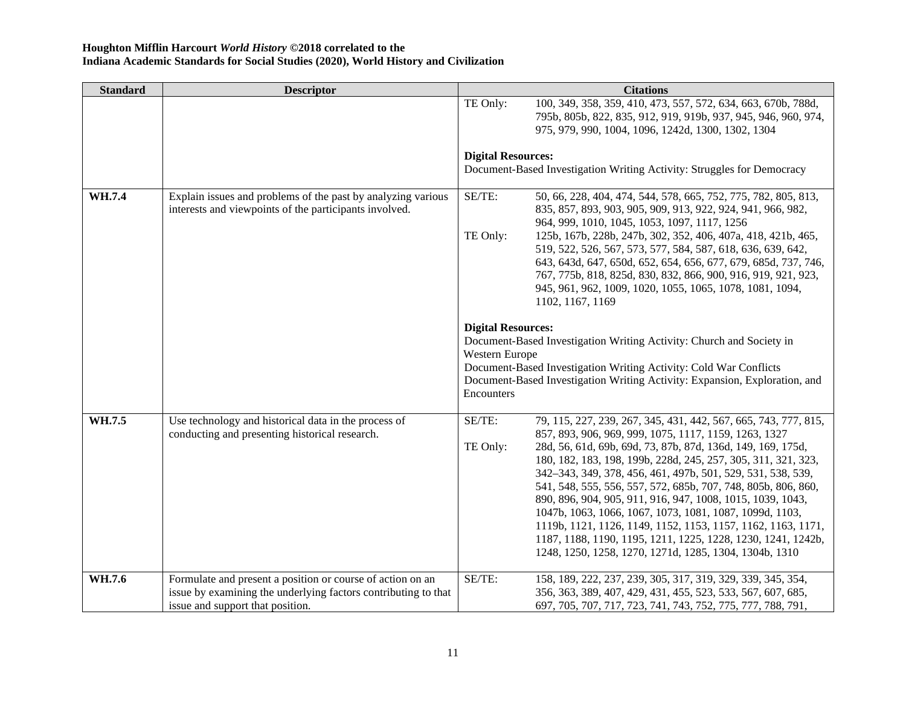| <b>Standard</b> | <b>Descriptor</b>                                                                                                                                                |                                             | <b>Citations</b>                                                                                                                                                                                                                                                                                                                                                                                                                                                                                                                                                                |
|-----------------|------------------------------------------------------------------------------------------------------------------------------------------------------------------|---------------------------------------------|---------------------------------------------------------------------------------------------------------------------------------------------------------------------------------------------------------------------------------------------------------------------------------------------------------------------------------------------------------------------------------------------------------------------------------------------------------------------------------------------------------------------------------------------------------------------------------|
|                 |                                                                                                                                                                  | TE Only:                                    | 100, 349, 358, 359, 410, 473, 557, 572, 634, 663, 670b, 788d,<br>795b, 805b, 822, 835, 912, 919, 919b, 937, 945, 946, 960, 974,<br>975, 979, 990, 1004, 1096, 1242d, 1300, 1302, 1304                                                                                                                                                                                                                                                                                                                                                                                           |
|                 |                                                                                                                                                                  | <b>Digital Resources:</b>                   |                                                                                                                                                                                                                                                                                                                                                                                                                                                                                                                                                                                 |
|                 |                                                                                                                                                                  |                                             | Document-Based Investigation Writing Activity: Struggles for Democracy                                                                                                                                                                                                                                                                                                                                                                                                                                                                                                          |
| WH.7.4          | Explain issues and problems of the past by analyzing various<br>interests and viewpoints of the participants involved.                                           | SE/TE:                                      | 50, 66, 228, 404, 474, 544, 578, 665, 752, 775, 782, 805, 813,<br>835, 857, 893, 903, 905, 909, 913, 922, 924, 941, 966, 982,<br>964, 999, 1010, 1045, 1053, 1097, 1117, 1256                                                                                                                                                                                                                                                                                                                                                                                                   |
|                 |                                                                                                                                                                  | TE Only:                                    | 125b, 167b, 228b, 247b, 302, 352, 406, 407a, 418, 421b, 465,<br>519, 522, 526, 567, 573, 577, 584, 587, 618, 636, 639, 642,<br>643, 643d, 647, 650d, 652, 654, 656, 677, 679, 685d, 737, 746,<br>767, 775b, 818, 825d, 830, 832, 866, 900, 916, 919, 921, 923,<br>945, 961, 962, 1009, 1020, 1055, 1065, 1078, 1081, 1094,<br>1102, 1167, 1169                                                                                                                                                                                                                                  |
|                 |                                                                                                                                                                  | <b>Digital Resources:</b><br>Western Europe | Document-Based Investigation Writing Activity: Church and Society in                                                                                                                                                                                                                                                                                                                                                                                                                                                                                                            |
|                 |                                                                                                                                                                  | Encounters                                  | Document-Based Investigation Writing Activity: Cold War Conflicts<br>Document-Based Investigation Writing Activity: Expansion, Exploration, and                                                                                                                                                                                                                                                                                                                                                                                                                                 |
| WH.7.5          | Use technology and historical data in the process of<br>conducting and presenting historical research.                                                           | SE/TE:                                      | 79, 115, 227, 239, 267, 345, 431, 442, 567, 665, 743, 777, 815,<br>857, 893, 906, 969, 999, 1075, 1117, 1159, 1263, 1327                                                                                                                                                                                                                                                                                                                                                                                                                                                        |
|                 |                                                                                                                                                                  | TE Only:                                    | 28d, 56, 61d, 69b, 69d, 73, 87b, 87d, 136d, 149, 169, 175d,<br>180, 182, 183, 198, 199b, 228d, 245, 257, 305, 311, 321, 323,<br>342-343, 349, 378, 456, 461, 497b, 501, 529, 531, 538, 539,<br>541, 548, 555, 556, 557, 572, 685b, 707, 748, 805b, 806, 860,<br>890, 896, 904, 905, 911, 916, 947, 1008, 1015, 1039, 1043,<br>1047b, 1063, 1066, 1067, 1073, 1081, 1087, 1099d, 1103,<br>1119b, 1121, 1126, 1149, 1152, 1153, 1157, 1162, 1163, 1171,<br>1187, 1188, 1190, 1195, 1211, 1225, 1228, 1230, 1241, 1242b,<br>1248, 1250, 1258, 1270, 1271d, 1285, 1304, 1304b, 1310 |
| WH.7.6          | Formulate and present a position or course of action on an<br>issue by examining the underlying factors contributing to that<br>issue and support that position. | SE/TE:                                      | 158, 189, 222, 237, 239, 305, 317, 319, 329, 339, 345, 354,<br>356, 363, 389, 407, 429, 431, 455, 523, 533, 567, 607, 685,<br>697, 705, 707, 717, 723, 741, 743, 752, 775, 777, 788, 791,                                                                                                                                                                                                                                                                                                                                                                                       |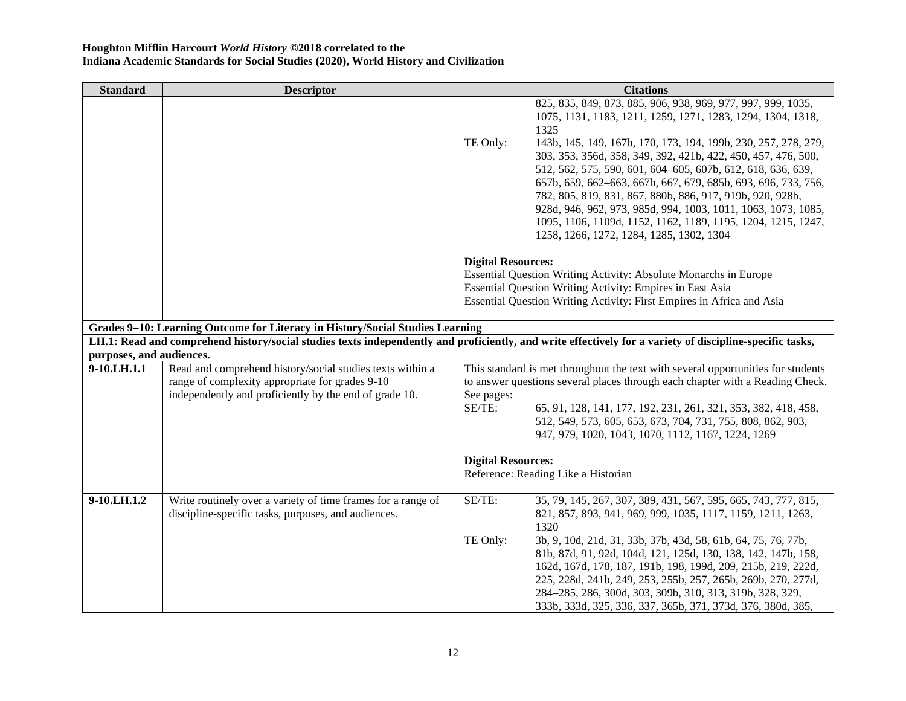| <b>Standard</b>                                                                                                                                          | <b>Descriptor</b>                                                                                            |                           | <b>Citations</b>                                                                                                                                                  |
|----------------------------------------------------------------------------------------------------------------------------------------------------------|--------------------------------------------------------------------------------------------------------------|---------------------------|-------------------------------------------------------------------------------------------------------------------------------------------------------------------|
|                                                                                                                                                          |                                                                                                              |                           | 825, 835, 849, 873, 885, 906, 938, 969, 977, 997, 999, 1035,                                                                                                      |
|                                                                                                                                                          |                                                                                                              |                           | 1075, 1131, 1183, 1211, 1259, 1271, 1283, 1294, 1304, 1318,                                                                                                       |
|                                                                                                                                                          |                                                                                                              |                           | 1325                                                                                                                                                              |
|                                                                                                                                                          |                                                                                                              | TE Only:                  | 143b, 145, 149, 167b, 170, 173, 194, 199b, 230, 257, 278, 279,                                                                                                    |
|                                                                                                                                                          |                                                                                                              |                           | 303, 353, 356d, 358, 349, 392, 421b, 422, 450, 457, 476, 500,                                                                                                     |
|                                                                                                                                                          |                                                                                                              |                           | 512, 562, 575, 590, 601, 604-605, 607b, 612, 618, 636, 639,                                                                                                       |
|                                                                                                                                                          |                                                                                                              |                           | 657b, 659, 662-663, 667b, 667, 679, 685b, 693, 696, 733, 756,                                                                                                     |
|                                                                                                                                                          |                                                                                                              |                           | 782, 805, 819, 831, 867, 880b, 886, 917, 919b, 920, 928b,                                                                                                         |
|                                                                                                                                                          |                                                                                                              |                           | 928d, 946, 962, 973, 985d, 994, 1003, 1011, 1063, 1073, 1085,<br>1095, 1106, 1109d, 1152, 1162, 1189, 1195, 1204, 1215, 1247,                                     |
|                                                                                                                                                          |                                                                                                              |                           | 1258, 1266, 1272, 1284, 1285, 1302, 1304                                                                                                                          |
|                                                                                                                                                          |                                                                                                              |                           |                                                                                                                                                                   |
|                                                                                                                                                          |                                                                                                              | <b>Digital Resources:</b> |                                                                                                                                                                   |
|                                                                                                                                                          |                                                                                                              |                           | Essential Question Writing Activity: Absolute Monarchs in Europe                                                                                                  |
|                                                                                                                                                          |                                                                                                              |                           | Essential Question Writing Activity: Empires in East Asia                                                                                                         |
|                                                                                                                                                          |                                                                                                              |                           | Essential Question Writing Activity: First Empires in Africa and Asia                                                                                             |
|                                                                                                                                                          |                                                                                                              |                           |                                                                                                                                                                   |
| Grades 9-10: Learning Outcome for Literacy in History/Social Studies Learning                                                                            |                                                                                                              |                           |                                                                                                                                                                   |
| LH.1: Read and comprehend history/social studies texts independently and proficiently, and write effectively for a variety of discipline-specific tasks, |                                                                                                              |                           |                                                                                                                                                                   |
| purposes, and audiences.                                                                                                                                 |                                                                                                              |                           |                                                                                                                                                                   |
| 9-10.LH.1.1                                                                                                                                              | Read and comprehend history/social studies texts within a<br>range of complexity appropriate for grades 9-10 |                           | This standard is met throughout the text with several opportunities for students<br>to answer questions several places through each chapter with a Reading Check. |
|                                                                                                                                                          | independently and proficiently by the end of grade 10.                                                       | See pages:                |                                                                                                                                                                   |
|                                                                                                                                                          |                                                                                                              | SE/TE:                    | 65, 91, 128, 141, 177, 192, 231, 261, 321, 353, 382, 418, 458,                                                                                                    |
|                                                                                                                                                          |                                                                                                              |                           | 512, 549, 573, 605, 653, 673, 704, 731, 755, 808, 862, 903,                                                                                                       |
|                                                                                                                                                          |                                                                                                              |                           | 947, 979, 1020, 1043, 1070, 1112, 1167, 1224, 1269                                                                                                                |
|                                                                                                                                                          |                                                                                                              |                           |                                                                                                                                                                   |
|                                                                                                                                                          |                                                                                                              | <b>Digital Resources:</b> |                                                                                                                                                                   |
|                                                                                                                                                          |                                                                                                              |                           | Reference: Reading Like a Historian                                                                                                                               |
|                                                                                                                                                          |                                                                                                              |                           |                                                                                                                                                                   |
| 9-10.LH.1.2                                                                                                                                              | Write routinely over a variety of time frames for a range of                                                 | SE/TE:                    | 35, 79, 145, 267, 307, 389, 431, 567, 595, 665, 743, 777, 815,                                                                                                    |
|                                                                                                                                                          | discipline-specific tasks, purposes, and audiences.                                                          |                           | 821, 857, 893, 941, 969, 999, 1035, 1117, 1159, 1211, 1263,                                                                                                       |
|                                                                                                                                                          |                                                                                                              | TE Only:                  | 1320<br>3b, 9, 10d, 21d, 31, 33b, 37b, 43d, 58, 61b, 64, 75, 76, 77b,                                                                                             |
|                                                                                                                                                          |                                                                                                              |                           | 81b, 87d, 91, 92d, 104d, 121, 125d, 130, 138, 142, 147b, 158,                                                                                                     |
|                                                                                                                                                          |                                                                                                              |                           | 162d, 167d, 178, 187, 191b, 198, 199d, 209, 215b, 219, 222d,                                                                                                      |
|                                                                                                                                                          |                                                                                                              |                           | 225, 228d, 241b, 249, 253, 255b, 257, 265b, 269b, 270, 277d,                                                                                                      |
|                                                                                                                                                          |                                                                                                              |                           | 284-285, 286, 300d, 303, 309b, 310, 313, 319b, 328, 329,                                                                                                          |
|                                                                                                                                                          |                                                                                                              |                           | 333b, 333d, 325, 336, 337, 365b, 371, 373d, 376, 380d, 385,                                                                                                       |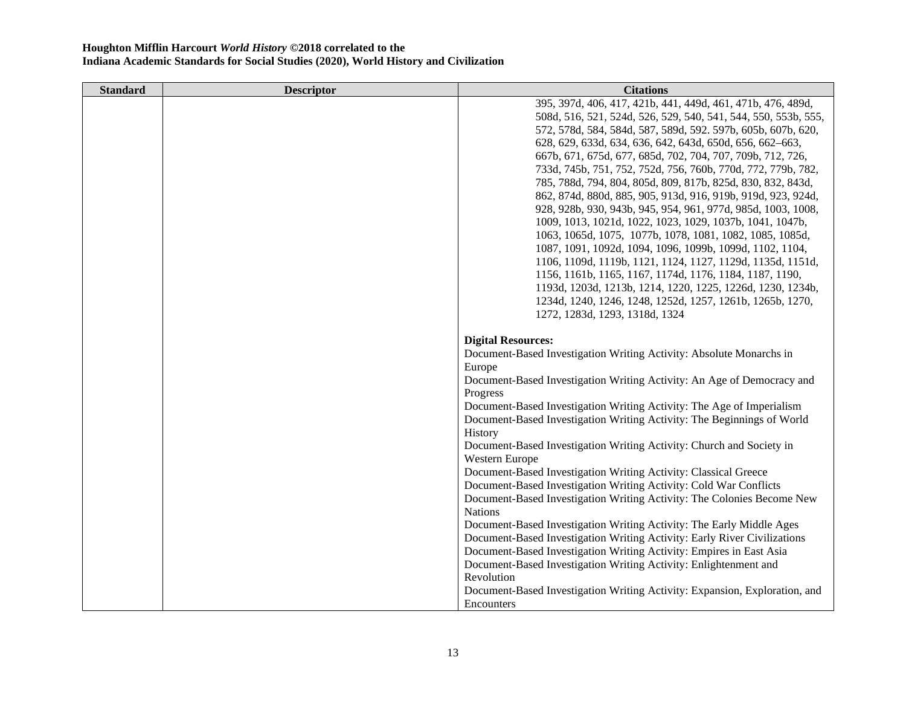| <b>Standard</b> | <b>Descriptor</b> | <b>Citations</b>                                                           |
|-----------------|-------------------|----------------------------------------------------------------------------|
|                 |                   | 395, 397d, 406, 417, 421b, 441, 449d, 461, 471b, 476, 489d,                |
|                 |                   | 508d, 516, 521, 524d, 526, 529, 540, 541, 544, 550, 553b, 555,             |
|                 |                   | 572, 578d, 584, 584d, 587, 589d, 592. 597b, 605b, 607b, 620,               |
|                 |                   | 628, 629, 633d, 634, 636, 642, 643d, 650d, 656, 662-663,                   |
|                 |                   | 667b, 671, 675d, 677, 685d, 702, 704, 707, 709b, 712, 726,                 |
|                 |                   | 733d, 745b, 751, 752, 752d, 756, 760b, 770d, 772, 779b, 782,               |
|                 |                   | 785, 788d, 794, 804, 805d, 809, 817b, 825d, 830, 832, 843d,                |
|                 |                   | 862, 874d, 880d, 885, 905, 913d, 916, 919b, 919d, 923, 924d,               |
|                 |                   | 928, 928b, 930, 943b, 945, 954, 961, 977d, 985d, 1003, 1008,               |
|                 |                   | 1009, 1013, 1021d, 1022, 1023, 1029, 1037b, 1041, 1047b,                   |
|                 |                   | 1063, 1065d, 1075, 1077b, 1078, 1081, 1082, 1085, 1085d,                   |
|                 |                   | 1087, 1091, 1092d, 1094, 1096, 1099b, 1099d, 1102, 1104,                   |
|                 |                   | 1106, 1109d, 1119b, 1121, 1124, 1127, 1129d, 1135d, 1151d,                 |
|                 |                   | 1156, 1161b, 1165, 1167, 1174d, 1176, 1184, 1187, 1190,                    |
|                 |                   | 1193d, 1203d, 1213b, 1214, 1220, 1225, 1226d, 1230, 1234b,                 |
|                 |                   | 1234d, 1240, 1246, 1248, 1252d, 1257, 1261b, 1265b, 1270,                  |
|                 |                   | 1272, 1283d, 1293, 1318d, 1324                                             |
|                 |                   | <b>Digital Resources:</b>                                                  |
|                 |                   | Document-Based Investigation Writing Activity: Absolute Monarchs in        |
|                 |                   | Europe                                                                     |
|                 |                   | Document-Based Investigation Writing Activity: An Age of Democracy and     |
|                 |                   | Progress                                                                   |
|                 |                   | Document-Based Investigation Writing Activity: The Age of Imperialism      |
|                 |                   | Document-Based Investigation Writing Activity: The Beginnings of World     |
|                 |                   | History                                                                    |
|                 |                   | Document-Based Investigation Writing Activity: Church and Society in       |
|                 |                   | Western Europe                                                             |
|                 |                   | Document-Based Investigation Writing Activity: Classical Greece            |
|                 |                   | Document-Based Investigation Writing Activity: Cold War Conflicts          |
|                 |                   | Document-Based Investigation Writing Activity: The Colonies Become New     |
|                 |                   | <b>Nations</b>                                                             |
|                 |                   | Document-Based Investigation Writing Activity: The Early Middle Ages       |
|                 |                   | Document-Based Investigation Writing Activity: Early River Civilizations   |
|                 |                   | Document-Based Investigation Writing Activity: Empires in East Asia        |
|                 |                   | Document-Based Investigation Writing Activity: Enlightenment and           |
|                 |                   | Revolution                                                                 |
|                 |                   | Document-Based Investigation Writing Activity: Expansion, Exploration, and |
|                 |                   | Encounters                                                                 |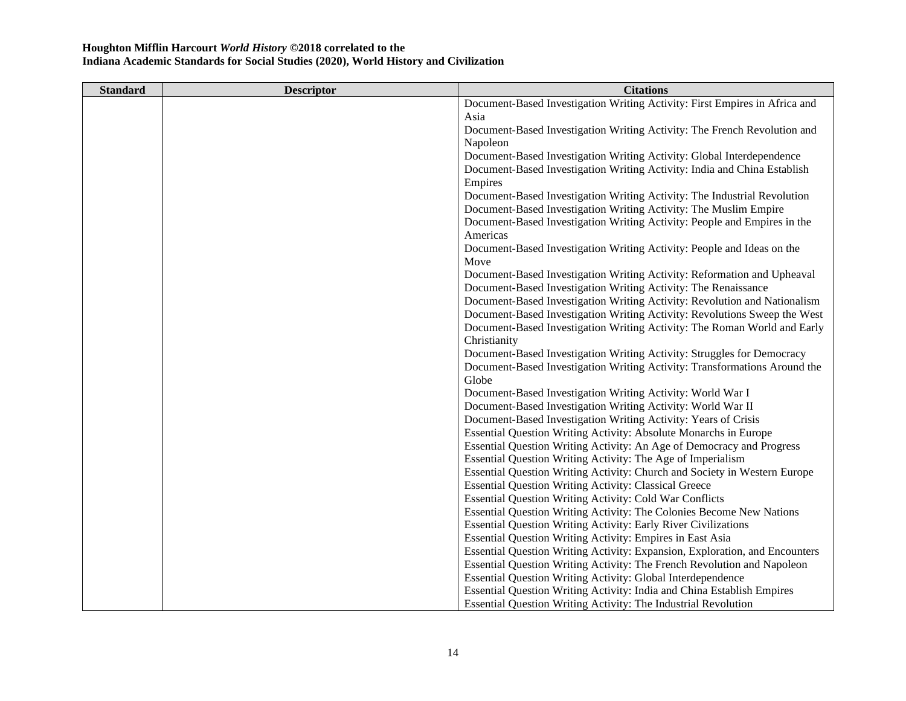| <b>Standard</b> | <b>Descriptor</b> | <b>Citations</b>                                                            |
|-----------------|-------------------|-----------------------------------------------------------------------------|
|                 |                   | Document-Based Investigation Writing Activity: First Empires in Africa and  |
|                 |                   | Asia                                                                        |
|                 |                   | Document-Based Investigation Writing Activity: The French Revolution and    |
|                 |                   | Napoleon                                                                    |
|                 |                   | Document-Based Investigation Writing Activity: Global Interdependence       |
|                 |                   | Document-Based Investigation Writing Activity: India and China Establish    |
|                 |                   | Empires                                                                     |
|                 |                   | Document-Based Investigation Writing Activity: The Industrial Revolution    |
|                 |                   | Document-Based Investigation Writing Activity: The Muslim Empire            |
|                 |                   | Document-Based Investigation Writing Activity: People and Empires in the    |
|                 |                   | Americas                                                                    |
|                 |                   | Document-Based Investigation Writing Activity: People and Ideas on the      |
|                 |                   | Move                                                                        |
|                 |                   | Document-Based Investigation Writing Activity: Reformation and Upheaval     |
|                 |                   | Document-Based Investigation Writing Activity: The Renaissance              |
|                 |                   | Document-Based Investigation Writing Activity: Revolution and Nationalism   |
|                 |                   | Document-Based Investigation Writing Activity: Revolutions Sweep the West   |
|                 |                   | Document-Based Investigation Writing Activity: The Roman World and Early    |
|                 |                   | Christianity                                                                |
|                 |                   | Document-Based Investigation Writing Activity: Struggles for Democracy      |
|                 |                   | Document-Based Investigation Writing Activity: Transformations Around the   |
|                 |                   | Globe                                                                       |
|                 |                   | Document-Based Investigation Writing Activity: World War I                  |
|                 |                   | Document-Based Investigation Writing Activity: World War II                 |
|                 |                   | Document-Based Investigation Writing Activity: Years of Crisis              |
|                 |                   | Essential Question Writing Activity: Absolute Monarchs in Europe            |
|                 |                   | Essential Question Writing Activity: An Age of Democracy and Progress       |
|                 |                   | Essential Question Writing Activity: The Age of Imperialism                 |
|                 |                   | Essential Question Writing Activity: Church and Society in Western Europe   |
|                 |                   | <b>Essential Question Writing Activity: Classical Greece</b>                |
|                 |                   | <b>Essential Question Writing Activity: Cold War Conflicts</b>              |
|                 |                   | Essential Question Writing Activity: The Colonies Become New Nations        |
|                 |                   | <b>Essential Question Writing Activity: Early River Civilizations</b>       |
|                 |                   | Essential Question Writing Activity: Empires in East Asia                   |
|                 |                   | Essential Question Writing Activity: Expansion, Exploration, and Encounters |
|                 |                   | Essential Question Writing Activity: The French Revolution and Napoleon     |
|                 |                   | <b>Essential Question Writing Activity: Global Interdependence</b>          |
|                 |                   | Essential Question Writing Activity: India and China Establish Empires      |
|                 |                   | <b>Essential Question Writing Activity: The Industrial Revolution</b>       |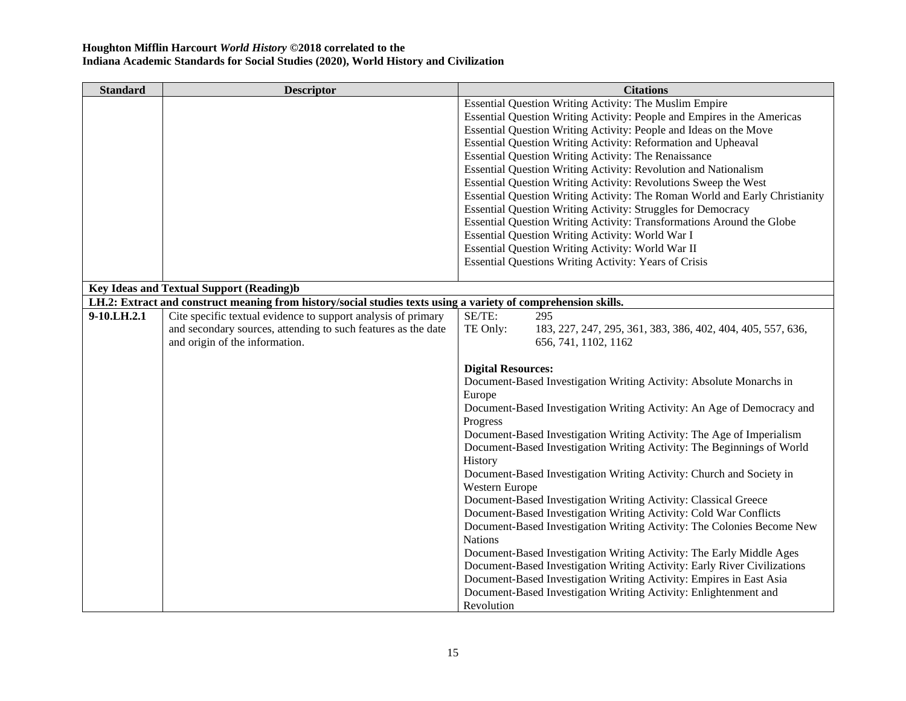| <b>Standard</b> | <b>Descriptor</b>                                                                                              | <b>Citations</b>                                                            |
|-----------------|----------------------------------------------------------------------------------------------------------------|-----------------------------------------------------------------------------|
|                 |                                                                                                                | Essential Question Writing Activity: The Muslim Empire                      |
|                 |                                                                                                                | Essential Question Writing Activity: People and Empires in the Americas     |
|                 |                                                                                                                | Essential Question Writing Activity: People and Ideas on the Move           |
|                 |                                                                                                                | Essential Question Writing Activity: Reformation and Upheaval               |
|                 |                                                                                                                | Essential Question Writing Activity: The Renaissance                        |
|                 |                                                                                                                | Essential Question Writing Activity: Revolution and Nationalism             |
|                 |                                                                                                                | Essential Question Writing Activity: Revolutions Sweep the West             |
|                 |                                                                                                                | Essential Question Writing Activity: The Roman World and Early Christianity |
|                 |                                                                                                                | <b>Essential Question Writing Activity: Struggles for Democracy</b>         |
|                 |                                                                                                                | Essential Question Writing Activity: Transformations Around the Globe       |
|                 |                                                                                                                | Essential Question Writing Activity: World War I                            |
|                 |                                                                                                                | Essential Question Writing Activity: World War II                           |
|                 |                                                                                                                | <b>Essential Questions Writing Activity: Years of Crisis</b>                |
|                 |                                                                                                                |                                                                             |
|                 | <b>Key Ideas and Textual Support (Reading)b</b>                                                                |                                                                             |
|                 | LH.2: Extract and construct meaning from history/social studies texts using a variety of comprehension skills. |                                                                             |
| 9-10.LH.2.1     | Cite specific textual evidence to support analysis of primary                                                  | SE/TE:<br>295                                                               |
|                 | and secondary sources, attending to such features as the date                                                  | TE Only:<br>183, 227, 247, 295, 361, 383, 386, 402, 404, 405, 557, 636,     |
|                 | and origin of the information.                                                                                 | 656, 741, 1102, 1162                                                        |
|                 |                                                                                                                |                                                                             |
|                 |                                                                                                                | <b>Digital Resources:</b>                                                   |
|                 |                                                                                                                | Document-Based Investigation Writing Activity: Absolute Monarchs in         |
|                 |                                                                                                                | Europe                                                                      |
|                 |                                                                                                                | Document-Based Investigation Writing Activity: An Age of Democracy and      |
|                 |                                                                                                                | Progress                                                                    |
|                 |                                                                                                                | Document-Based Investigation Writing Activity: The Age of Imperialism       |
|                 |                                                                                                                | Document-Based Investigation Writing Activity: The Beginnings of World      |
|                 |                                                                                                                | History                                                                     |
|                 |                                                                                                                | Document-Based Investigation Writing Activity: Church and Society in        |
|                 |                                                                                                                | Western Europe                                                              |
|                 |                                                                                                                | Document-Based Investigation Writing Activity: Classical Greece             |
|                 |                                                                                                                | Document-Based Investigation Writing Activity: Cold War Conflicts           |
|                 |                                                                                                                | Document-Based Investigation Writing Activity: The Colonies Become New      |
|                 |                                                                                                                | <b>Nations</b>                                                              |
|                 |                                                                                                                | Document-Based Investigation Writing Activity: The Early Middle Ages        |
|                 |                                                                                                                | Document-Based Investigation Writing Activity: Early River Civilizations    |
|                 |                                                                                                                | Document-Based Investigation Writing Activity: Empires in East Asia         |
|                 |                                                                                                                | Document-Based Investigation Writing Activity: Enlightenment and            |
|                 |                                                                                                                | Revolution                                                                  |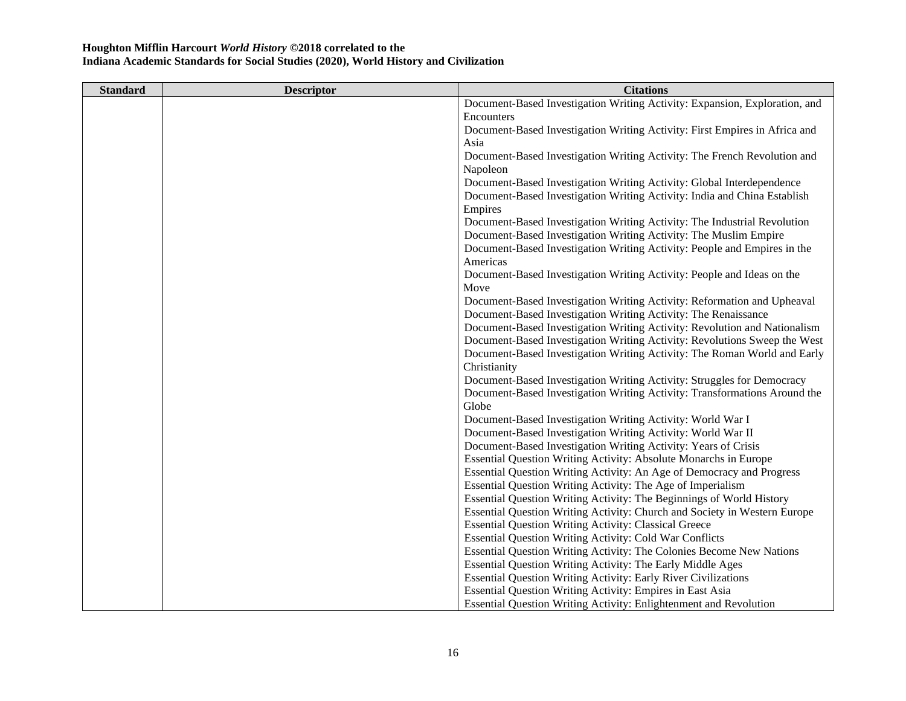| <b>Standard</b> | <b>Descriptor</b> | <b>Citations</b>                                                           |
|-----------------|-------------------|----------------------------------------------------------------------------|
|                 |                   | Document-Based Investigation Writing Activity: Expansion, Exploration, and |
|                 |                   | Encounters                                                                 |
|                 |                   | Document-Based Investigation Writing Activity: First Empires in Africa and |
|                 |                   | Asia                                                                       |
|                 |                   | Document-Based Investigation Writing Activity: The French Revolution and   |
|                 |                   | Napoleon                                                                   |
|                 |                   | Document-Based Investigation Writing Activity: Global Interdependence      |
|                 |                   | Document-Based Investigation Writing Activity: India and China Establish   |
|                 |                   | Empires                                                                    |
|                 |                   | Document-Based Investigation Writing Activity: The Industrial Revolution   |
|                 |                   | Document-Based Investigation Writing Activity: The Muslim Empire           |
|                 |                   | Document-Based Investigation Writing Activity: People and Empires in the   |
|                 |                   | Americas                                                                   |
|                 |                   | Document-Based Investigation Writing Activity: People and Ideas on the     |
|                 |                   | Move                                                                       |
|                 |                   | Document-Based Investigation Writing Activity: Reformation and Upheaval    |
|                 |                   | Document-Based Investigation Writing Activity: The Renaissance             |
|                 |                   | Document-Based Investigation Writing Activity: Revolution and Nationalism  |
|                 |                   | Document-Based Investigation Writing Activity: Revolutions Sweep the West  |
|                 |                   | Document-Based Investigation Writing Activity: The Roman World and Early   |
|                 |                   | Christianity                                                               |
|                 |                   | Document-Based Investigation Writing Activity: Struggles for Democracy     |
|                 |                   | Document-Based Investigation Writing Activity: Transformations Around the  |
|                 |                   | Globe                                                                      |
|                 |                   | Document-Based Investigation Writing Activity: World War I                 |
|                 |                   | Document-Based Investigation Writing Activity: World War II                |
|                 |                   | Document-Based Investigation Writing Activity: Years of Crisis             |
|                 |                   | Essential Question Writing Activity: Absolute Monarchs in Europe           |
|                 |                   | Essential Question Writing Activity: An Age of Democracy and Progress      |
|                 |                   | Essential Question Writing Activity: The Age of Imperialism                |
|                 |                   | Essential Question Writing Activity: The Beginnings of World History       |
|                 |                   | Essential Question Writing Activity: Church and Society in Western Europe  |
|                 |                   | <b>Essential Question Writing Activity: Classical Greece</b>               |
|                 |                   | <b>Essential Question Writing Activity: Cold War Conflicts</b>             |
|                 |                   | Essential Question Writing Activity: The Colonies Become New Nations       |
|                 |                   | Essential Question Writing Activity: The Early Middle Ages                 |
|                 |                   | <b>Essential Question Writing Activity: Early River Civilizations</b>      |
|                 |                   | Essential Question Writing Activity: Empires in East Asia                  |
|                 |                   | <b>Essential Question Writing Activity: Enlightenment and Revolution</b>   |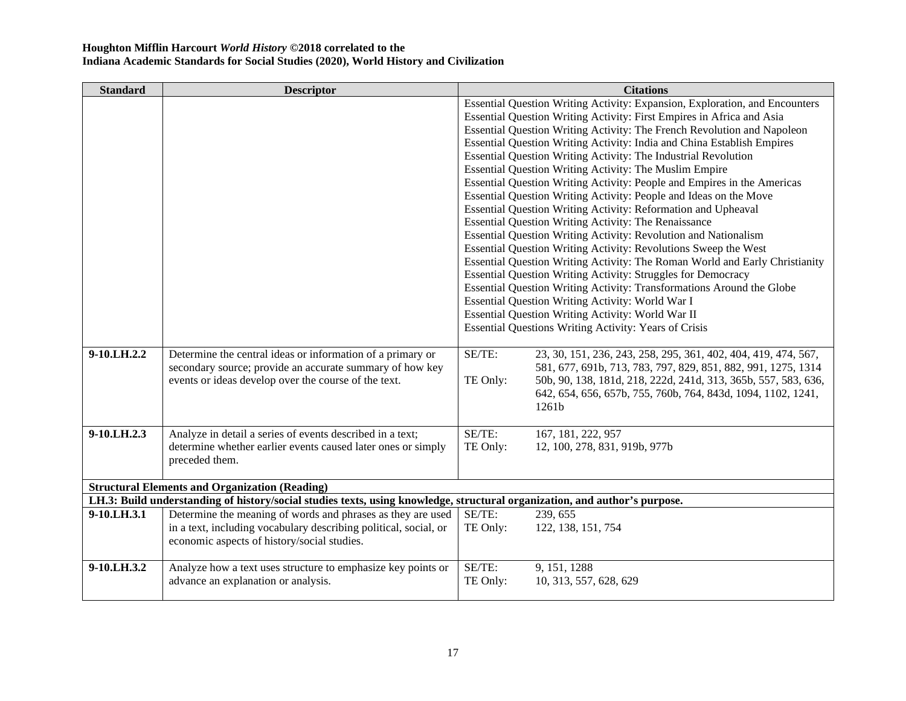| <b>Standard</b>                                                                                                            | <b>Descriptor</b>                                            |                    | <b>Citations</b>                                                            |
|----------------------------------------------------------------------------------------------------------------------------|--------------------------------------------------------------|--------------------|-----------------------------------------------------------------------------|
|                                                                                                                            |                                                              |                    | Essential Question Writing Activity: Expansion, Exploration, and Encounters |
|                                                                                                                            |                                                              |                    | Essential Question Writing Activity: First Empires in Africa and Asia       |
|                                                                                                                            |                                                              |                    | Essential Question Writing Activity: The French Revolution and Napoleon     |
|                                                                                                                            |                                                              |                    | Essential Question Writing Activity: India and China Establish Empires      |
|                                                                                                                            |                                                              |                    | Essential Question Writing Activity: The Industrial Revolution              |
|                                                                                                                            |                                                              |                    | Essential Question Writing Activity: The Muslim Empire                      |
|                                                                                                                            |                                                              |                    | Essential Question Writing Activity: People and Empires in the Americas     |
|                                                                                                                            |                                                              |                    | Essential Question Writing Activity: People and Ideas on the Move           |
|                                                                                                                            |                                                              |                    | Essential Question Writing Activity: Reformation and Upheaval               |
|                                                                                                                            |                                                              |                    | Essential Question Writing Activity: The Renaissance                        |
|                                                                                                                            |                                                              |                    | <b>Essential Question Writing Activity: Revolution and Nationalism</b>      |
|                                                                                                                            |                                                              |                    | Essential Question Writing Activity: Revolutions Sweep the West             |
|                                                                                                                            |                                                              |                    | Essential Question Writing Activity: The Roman World and Early Christianity |
|                                                                                                                            |                                                              |                    | Essential Question Writing Activity: Struggles for Democracy                |
|                                                                                                                            |                                                              |                    | Essential Question Writing Activity: Transformations Around the Globe       |
|                                                                                                                            |                                                              |                    | Essential Question Writing Activity: World War I                            |
|                                                                                                                            |                                                              |                    | Essential Question Writing Activity: World War II                           |
|                                                                                                                            |                                                              |                    | <b>Essential Questions Writing Activity: Years of Crisis</b>                |
|                                                                                                                            |                                                              |                    |                                                                             |
| 9-10.LH.2.2                                                                                                                | Determine the central ideas or information of a primary or   | SE/TE:             | 23, 30, 151, 236, 243, 258, 295, 361, 402, 404, 419, 474, 567,              |
|                                                                                                                            | secondary source; provide an accurate summary of how key     |                    | 581, 677, 691b, 713, 783, 797, 829, 851, 882, 991, 1275, 1314               |
| events or ideas develop over the course of the text.                                                                       |                                                              | TE Only:           | 50b, 90, 138, 181d, 218, 222d, 241d, 313, 365b, 557, 583, 636,              |
|                                                                                                                            |                                                              |                    | 642, 654, 656, 657b, 755, 760b, 764, 843d, 1094, 1102, 1241,                |
|                                                                                                                            |                                                              |                    | 1261b                                                                       |
|                                                                                                                            |                                                              |                    |                                                                             |
| 9-10.LH.2.3                                                                                                                | Analyze in detail a series of events described in a text;    | SE/TE:             | 167, 181, 222, 957                                                          |
|                                                                                                                            | determine whether earlier events caused later ones or simply | TE Only:           | 12, 100, 278, 831, 919b, 977b                                               |
| preceded them.                                                                                                             |                                                              |                    |                                                                             |
|                                                                                                                            |                                                              |                    |                                                                             |
| <b>Structural Elements and Organization (Reading)</b>                                                                      |                                                              |                    |                                                                             |
| LH.3: Build understanding of history/social studies texts, using knowledge, structural organization, and author's purpose. |                                                              |                    |                                                                             |
| 9-10.LH.3.1                                                                                                                | Determine the meaning of words and phrases as they are used  | SE/TE:<br>TE Only: | 239, 655                                                                    |
| in a text, including vocabulary describing political, social, or                                                           |                                                              |                    |                                                                             |
|                                                                                                                            |                                                              |                    | 122, 138, 151, 754                                                          |
|                                                                                                                            | economic aspects of history/social studies.                  |                    |                                                                             |
|                                                                                                                            |                                                              |                    |                                                                             |
| 9-10.LH.3.2<br>advance an explanation or analysis.                                                                         | Analyze how a text uses structure to emphasize key points or | SE/TE:<br>TE Only: | 9, 151, 1288<br>10, 313, 557, 628, 629                                      |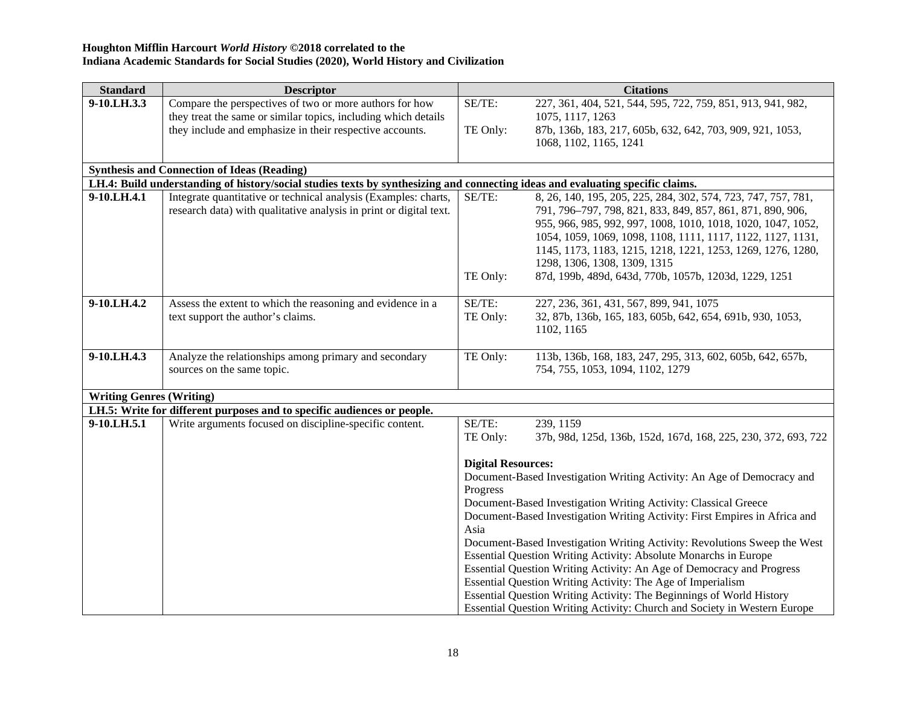| <b>Standard</b>                 | <b>Descriptor</b>                                                                                                              |                           | <b>Citations</b>                                                                                     |
|---------------------------------|--------------------------------------------------------------------------------------------------------------------------------|---------------------------|------------------------------------------------------------------------------------------------------|
| 9-10.LH.3.3                     | Compare the perspectives of two or more authors for how                                                                        | SE/TE:                    | 227, 361, 404, 521, 544, 595, 722, 759, 851, 913, 941, 982,                                          |
|                                 | they treat the same or similar topics, including which details                                                                 |                           | 1075, 1117, 1263                                                                                     |
|                                 | they include and emphasize in their respective accounts.                                                                       | TE Only:                  | 87b, 136b, 183, 217, 605b, 632, 642, 703, 909, 921, 1053,                                            |
|                                 |                                                                                                                                |                           | 1068, 1102, 1165, 1241                                                                               |
|                                 |                                                                                                                                |                           |                                                                                                      |
|                                 | <b>Synthesis and Connection of Ideas (Reading)</b>                                                                             |                           |                                                                                                      |
|                                 | LH.4: Build understanding of history/social studies texts by synthesizing and connecting ideas and evaluating specific claims. |                           |                                                                                                      |
| 9-10.LH.4.1                     | Integrate quantitative or technical analysis (Examples: charts,                                                                | SE/TE:                    | 8, 26, 140, 195, 205, 225, 284, 302, 574, 723, 747, 757, 781,                                        |
|                                 | research data) with qualitative analysis in print or digital text.                                                             |                           | 791, 796-797, 798, 821, 833, 849, 857, 861, 871, 890, 906,                                           |
|                                 |                                                                                                                                |                           | 955, 966, 985, 992, 997, 1008, 1010, 1018, 1020, 1047, 1052,                                         |
|                                 |                                                                                                                                |                           | 1054, 1059, 1069, 1098, 1108, 1111, 1117, 1122, 1127, 1131,                                          |
|                                 |                                                                                                                                |                           | 1145, 1173, 1183, 1215, 1218, 1221, 1253, 1269, 1276, 1280,                                          |
|                                 |                                                                                                                                |                           | 1298, 1306, 1308, 1309, 1315                                                                         |
|                                 |                                                                                                                                | TE Only:                  | 87d, 199b, 489d, 643d, 770b, 1057b, 1203d, 1229, 1251                                                |
| 9-10.LH.4.2                     |                                                                                                                                | SE/TE:                    |                                                                                                      |
|                                 | Assess the extent to which the reasoning and evidence in a<br>text support the author's claims.                                | TE Only:                  | 227, 236, 361, 431, 567, 899, 941, 1075<br>32, 87b, 136b, 165, 183, 605b, 642, 654, 691b, 930, 1053, |
|                                 |                                                                                                                                |                           | 1102, 1165                                                                                           |
|                                 |                                                                                                                                |                           |                                                                                                      |
| 9-10.LH.4.3                     | Analyze the relationships among primary and secondary                                                                          | TE Only:                  | 113b, 136b, 168, 183, 247, 295, 313, 602, 605b, 642, 657b,                                           |
|                                 | sources on the same topic.                                                                                                     |                           | 754, 755, 1053, 1094, 1102, 1279                                                                     |
|                                 |                                                                                                                                |                           |                                                                                                      |
| <b>Writing Genres (Writing)</b> |                                                                                                                                |                           |                                                                                                      |
|                                 | LH.5: Write for different purposes and to specific audiences or people.                                                        |                           |                                                                                                      |
| 9-10.LH.5.1                     | Write arguments focused on discipline-specific content.                                                                        | SE/TE:                    | 239, 1159                                                                                            |
|                                 |                                                                                                                                | TE Only:                  | 37b, 98d, 125d, 136b, 152d, 167d, 168, 225, 230, 372, 693, 722                                       |
|                                 |                                                                                                                                |                           |                                                                                                      |
|                                 |                                                                                                                                | <b>Digital Resources:</b> |                                                                                                      |
|                                 |                                                                                                                                |                           | Document-Based Investigation Writing Activity: An Age of Democracy and                               |
|                                 |                                                                                                                                | Progress                  |                                                                                                      |
|                                 |                                                                                                                                |                           | Document-Based Investigation Writing Activity: Classical Greece                                      |
|                                 |                                                                                                                                |                           | Document-Based Investigation Writing Activity: First Empires in Africa and                           |
|                                 |                                                                                                                                | Asia                      |                                                                                                      |
|                                 |                                                                                                                                |                           | Document-Based Investigation Writing Activity: Revolutions Sweep the West                            |
|                                 |                                                                                                                                |                           | Essential Question Writing Activity: Absolute Monarchs in Europe                                     |
|                                 |                                                                                                                                |                           | Essential Question Writing Activity: An Age of Democracy and Progress                                |
|                                 |                                                                                                                                |                           | Essential Question Writing Activity: The Age of Imperialism                                          |
|                                 |                                                                                                                                |                           | Essential Question Writing Activity: The Beginnings of World History                                 |
|                                 |                                                                                                                                |                           | Essential Question Writing Activity: Church and Society in Western Europe                            |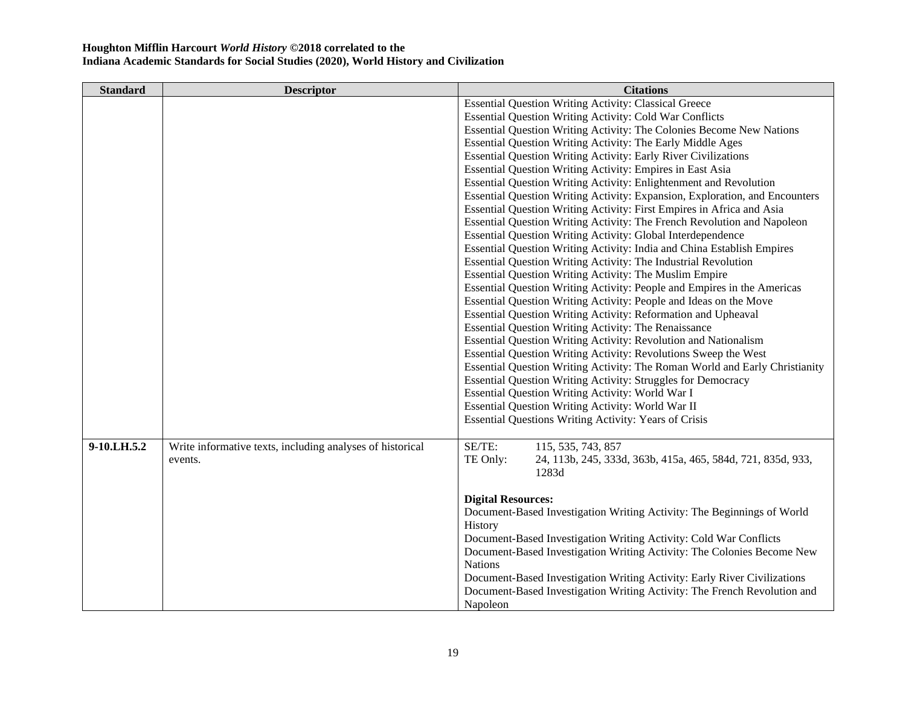| <b>Standard</b> | <b>Descriptor</b>                                         | <b>Citations</b>                                                            |
|-----------------|-----------------------------------------------------------|-----------------------------------------------------------------------------|
|                 |                                                           | <b>Essential Question Writing Activity: Classical Greece</b>                |
|                 |                                                           | <b>Essential Question Writing Activity: Cold War Conflicts</b>              |
|                 |                                                           | Essential Question Writing Activity: The Colonies Become New Nations        |
|                 |                                                           | Essential Question Writing Activity: The Early Middle Ages                  |
|                 |                                                           | <b>Essential Question Writing Activity: Early River Civilizations</b>       |
|                 |                                                           | Essential Question Writing Activity: Empires in East Asia                   |
|                 |                                                           | <b>Essential Question Writing Activity: Enlightenment and Revolution</b>    |
|                 |                                                           | Essential Question Writing Activity: Expansion, Exploration, and Encounters |
|                 |                                                           | Essential Question Writing Activity: First Empires in Africa and Asia       |
|                 |                                                           | Essential Question Writing Activity: The French Revolution and Napoleon     |
|                 |                                                           | <b>Essential Question Writing Activity: Global Interdependence</b>          |
|                 |                                                           | Essential Question Writing Activity: India and China Establish Empires      |
|                 |                                                           | Essential Question Writing Activity: The Industrial Revolution              |
|                 |                                                           | Essential Question Writing Activity: The Muslim Empire                      |
|                 |                                                           | Essential Question Writing Activity: People and Empires in the Americas     |
|                 |                                                           | Essential Question Writing Activity: People and Ideas on the Move           |
|                 |                                                           | Essential Question Writing Activity: Reformation and Upheaval               |
|                 |                                                           | Essential Question Writing Activity: The Renaissance                        |
|                 |                                                           | Essential Question Writing Activity: Revolution and Nationalism             |
|                 |                                                           | Essential Question Writing Activity: Revolutions Sweep the West             |
|                 |                                                           | Essential Question Writing Activity: The Roman World and Early Christianity |
|                 |                                                           | Essential Question Writing Activity: Struggles for Democracy                |
|                 |                                                           | Essential Question Writing Activity: World War I                            |
|                 |                                                           | Essential Question Writing Activity: World War II                           |
|                 |                                                           | Essential Questions Writing Activity: Years of Crisis                       |
| 9-10.LH.5.2     | Write informative texts, including analyses of historical | SE/TE:<br>115, 535, 743, 857                                                |
|                 | events.                                                   | TE Only:<br>24, 113b, 245, 333d, 363b, 415a, 465, 584d, 721, 835d, 933,     |
|                 |                                                           | 1283d                                                                       |
|                 |                                                           |                                                                             |
|                 |                                                           | <b>Digital Resources:</b>                                                   |
|                 |                                                           | Document-Based Investigation Writing Activity: The Beginnings of World      |
|                 |                                                           | History                                                                     |
|                 |                                                           | Document-Based Investigation Writing Activity: Cold War Conflicts           |
|                 |                                                           | Document-Based Investigation Writing Activity: The Colonies Become New      |
|                 |                                                           | <b>Nations</b>                                                              |
|                 |                                                           | Document-Based Investigation Writing Activity: Early River Civilizations    |
|                 |                                                           | Document-Based Investigation Writing Activity: The French Revolution and    |
|                 |                                                           | Napoleon                                                                    |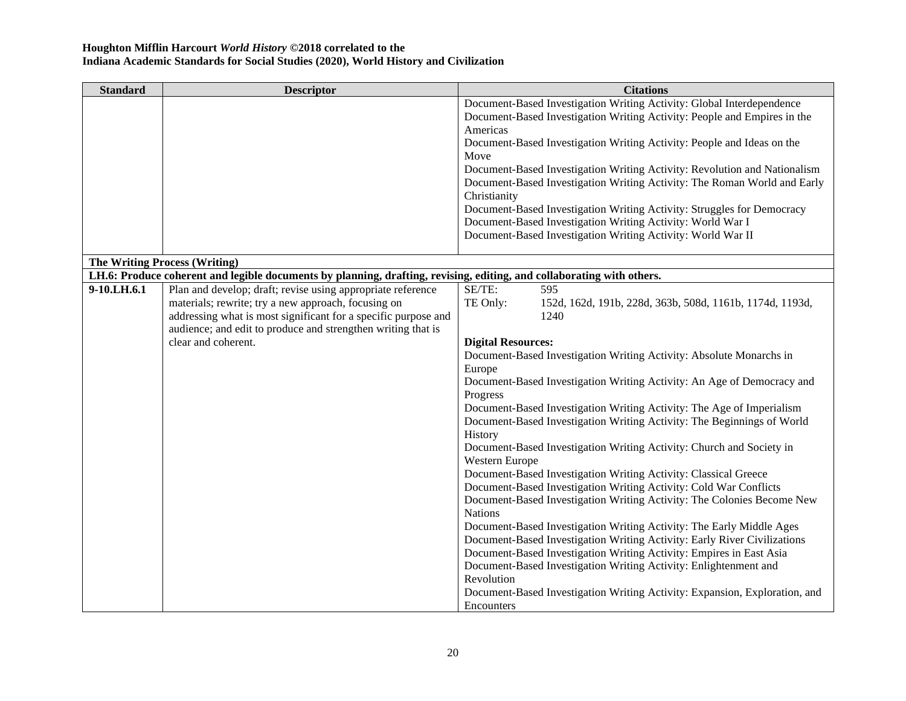| <b>Standard</b> | <b>Descriptor</b>                                                                                                     | <b>Citations</b>                                                           |
|-----------------|-----------------------------------------------------------------------------------------------------------------------|----------------------------------------------------------------------------|
|                 |                                                                                                                       | Document-Based Investigation Writing Activity: Global Interdependence      |
|                 |                                                                                                                       | Document-Based Investigation Writing Activity: People and Empires in the   |
|                 |                                                                                                                       | Americas                                                                   |
|                 |                                                                                                                       | Document-Based Investigation Writing Activity: People and Ideas on the     |
|                 |                                                                                                                       | Move                                                                       |
|                 |                                                                                                                       | Document-Based Investigation Writing Activity: Revolution and Nationalism  |
|                 |                                                                                                                       | Document-Based Investigation Writing Activity: The Roman World and Early   |
|                 |                                                                                                                       | Christianity                                                               |
|                 |                                                                                                                       | Document-Based Investigation Writing Activity: Struggles for Democracy     |
|                 |                                                                                                                       | Document-Based Investigation Writing Activity: World War I                 |
|                 |                                                                                                                       | Document-Based Investigation Writing Activity: World War II                |
|                 |                                                                                                                       |                                                                            |
|                 | <b>The Writing Process (Writing)</b>                                                                                  |                                                                            |
|                 | LH.6: Produce coherent and legible documents by planning, drafting, revising, editing, and collaborating with others. |                                                                            |
| 9-10.LH.6.1     | Plan and develop; draft; revise using appropriate reference                                                           | SE/TE:<br>595                                                              |
|                 | materials; rewrite; try a new approach, focusing on                                                                   | TE Only:<br>152d, 162d, 191b, 228d, 363b, 508d, 1161b, 1174d, 1193d,       |
|                 | addressing what is most significant for a specific purpose and                                                        | 1240                                                                       |
|                 | audience; and edit to produce and strengthen writing that is                                                          |                                                                            |
|                 | clear and coherent.                                                                                                   | <b>Digital Resources:</b>                                                  |
|                 |                                                                                                                       | Document-Based Investigation Writing Activity: Absolute Monarchs in        |
|                 |                                                                                                                       | Europe                                                                     |
|                 |                                                                                                                       | Document-Based Investigation Writing Activity: An Age of Democracy and     |
|                 |                                                                                                                       | Progress                                                                   |
|                 |                                                                                                                       | Document-Based Investigation Writing Activity: The Age of Imperialism      |
|                 |                                                                                                                       | Document-Based Investigation Writing Activity: The Beginnings of World     |
|                 |                                                                                                                       | History                                                                    |
|                 |                                                                                                                       | Document-Based Investigation Writing Activity: Church and Society in       |
|                 |                                                                                                                       | Western Europe                                                             |
|                 |                                                                                                                       | Document-Based Investigation Writing Activity: Classical Greece            |
|                 |                                                                                                                       | Document-Based Investigation Writing Activity: Cold War Conflicts          |
|                 |                                                                                                                       | Document-Based Investigation Writing Activity: The Colonies Become New     |
|                 |                                                                                                                       | <b>Nations</b>                                                             |
|                 |                                                                                                                       | Document-Based Investigation Writing Activity: The Early Middle Ages       |
|                 |                                                                                                                       | Document-Based Investigation Writing Activity: Early River Civilizations   |
|                 |                                                                                                                       | Document-Based Investigation Writing Activity: Empires in East Asia        |
|                 |                                                                                                                       | Document-Based Investigation Writing Activity: Enlightenment and           |
|                 |                                                                                                                       | Revolution                                                                 |
|                 |                                                                                                                       | Document-Based Investigation Writing Activity: Expansion, Exploration, and |
|                 |                                                                                                                       | Encounters                                                                 |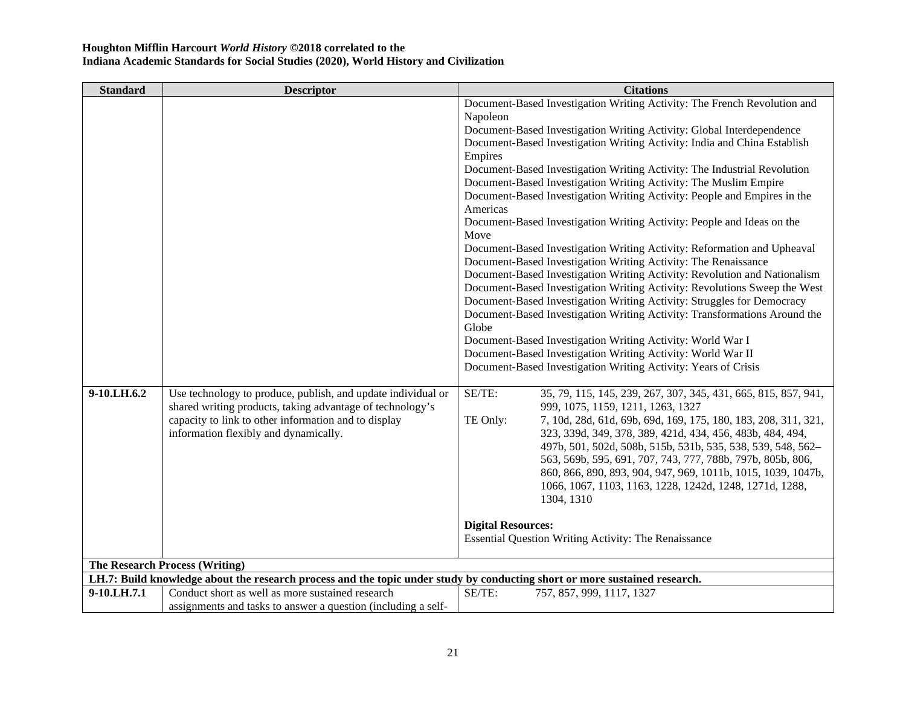| <b>Standard</b> | <b>Descriptor</b>                                                                                                          | <b>Citations</b>                                                                                                        |
|-----------------|----------------------------------------------------------------------------------------------------------------------------|-------------------------------------------------------------------------------------------------------------------------|
|                 |                                                                                                                            | Document-Based Investigation Writing Activity: The French Revolution and                                                |
|                 |                                                                                                                            | Napoleon                                                                                                                |
|                 |                                                                                                                            | Document-Based Investigation Writing Activity: Global Interdependence                                                   |
|                 |                                                                                                                            | Document-Based Investigation Writing Activity: India and China Establish                                                |
|                 |                                                                                                                            | Empires                                                                                                                 |
|                 |                                                                                                                            | Document-Based Investigation Writing Activity: The Industrial Revolution                                                |
|                 |                                                                                                                            | Document-Based Investigation Writing Activity: The Muslim Empire                                                        |
|                 |                                                                                                                            | Document-Based Investigation Writing Activity: People and Empires in the                                                |
|                 |                                                                                                                            | Americas                                                                                                                |
|                 |                                                                                                                            | Document-Based Investigation Writing Activity: People and Ideas on the                                                  |
|                 |                                                                                                                            | Move                                                                                                                    |
|                 |                                                                                                                            | Document-Based Investigation Writing Activity: Reformation and Upheaval                                                 |
|                 |                                                                                                                            | Document-Based Investigation Writing Activity: The Renaissance                                                          |
|                 |                                                                                                                            | Document-Based Investigation Writing Activity: Revolution and Nationalism                                               |
|                 |                                                                                                                            | Document-Based Investigation Writing Activity: Revolutions Sweep the West                                               |
|                 |                                                                                                                            | Document-Based Investigation Writing Activity: Struggles for Democracy                                                  |
|                 |                                                                                                                            | Document-Based Investigation Writing Activity: Transformations Around the                                               |
|                 |                                                                                                                            | Globe                                                                                                                   |
|                 |                                                                                                                            | Document-Based Investigation Writing Activity: World War I                                                              |
|                 |                                                                                                                            | Document-Based Investigation Writing Activity: World War II                                                             |
|                 |                                                                                                                            | Document-Based Investigation Writing Activity: Years of Crisis                                                          |
|                 |                                                                                                                            |                                                                                                                         |
| 9-10.LH.6.2     | Use technology to produce, publish, and update individual or                                                               | SE/TE:<br>35, 79, 115, 145, 239, 267, 307, 345, 431, 665, 815, 857, 941,                                                |
|                 | shared writing products, taking advantage of technology's                                                                  | 999, 1075, 1159, 1211, 1263, 1327                                                                                       |
|                 | capacity to link to other information and to display                                                                       | TE Only:<br>7, 10d, 28d, 61d, 69b, 69d, 169, 175, 180, 183, 208, 311, 321,                                              |
|                 | information flexibly and dynamically.                                                                                      | 323, 339d, 349, 378, 389, 421d, 434, 456, 483b, 484, 494,                                                               |
|                 |                                                                                                                            | 497b, 501, 502d, 508b, 515b, 531b, 535, 538, 539, 548, 562-                                                             |
|                 |                                                                                                                            | 563, 569b, 595, 691, 707, 743, 777, 788b, 797b, 805b, 806,                                                              |
|                 |                                                                                                                            | 860, 866, 890, 893, 904, 947, 969, 1011b, 1015, 1039, 1047b,<br>1066, 1067, 1103, 1163, 1228, 1242d, 1248, 1271d, 1288, |
|                 |                                                                                                                            | 1304, 1310                                                                                                              |
|                 |                                                                                                                            |                                                                                                                         |
|                 |                                                                                                                            | <b>Digital Resources:</b>                                                                                               |
|                 |                                                                                                                            | Essential Question Writing Activity: The Renaissance                                                                    |
|                 |                                                                                                                            |                                                                                                                         |
|                 | The Research Process (Writing)                                                                                             |                                                                                                                         |
|                 | LH.7: Build knowledge about the research process and the topic under study by conducting short or more sustained research. |                                                                                                                         |
| 9-10.LH.7.1     | Conduct short as well as more sustained research                                                                           | SE/TE:<br>757, 857, 999, 1117, 1327                                                                                     |
|                 | assignments and tasks to answer a question (including a self-                                                              |                                                                                                                         |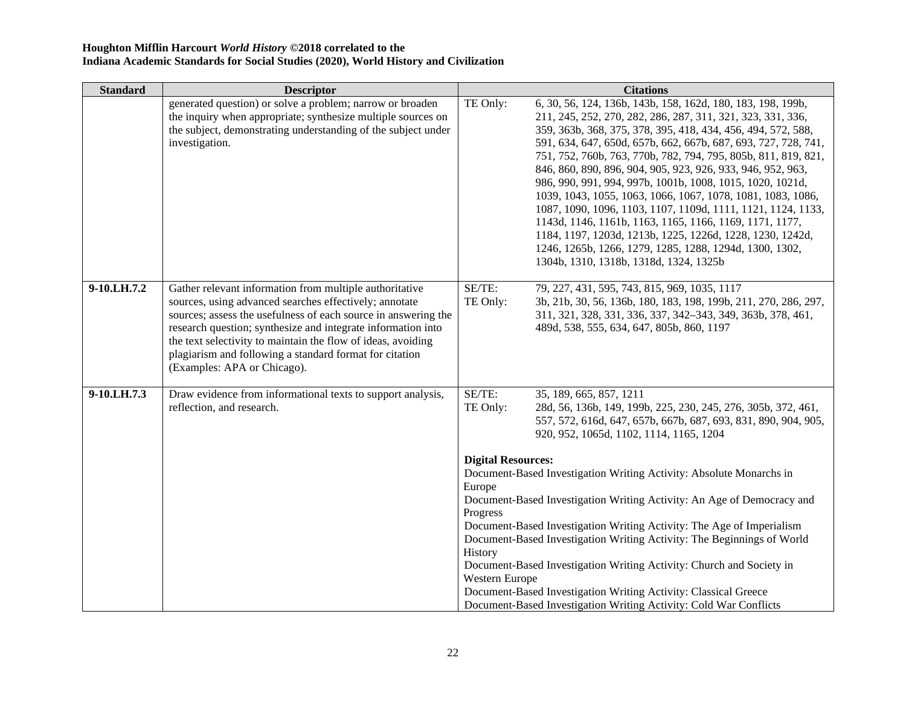| Standard    | <b>Descriptor</b>                                                                                                                                                                                                                                                                                                                                                                                             |                           | <b>Citations</b>                                                                                                                                                                                                                                                                                                                                                                                                                                                                                                                                                                                                                                                                                                                                                                                                       |
|-------------|---------------------------------------------------------------------------------------------------------------------------------------------------------------------------------------------------------------------------------------------------------------------------------------------------------------------------------------------------------------------------------------------------------------|---------------------------|------------------------------------------------------------------------------------------------------------------------------------------------------------------------------------------------------------------------------------------------------------------------------------------------------------------------------------------------------------------------------------------------------------------------------------------------------------------------------------------------------------------------------------------------------------------------------------------------------------------------------------------------------------------------------------------------------------------------------------------------------------------------------------------------------------------------|
|             | generated question) or solve a problem; narrow or broaden<br>the inquiry when appropriate; synthesize multiple sources on<br>the subject, demonstrating understanding of the subject under<br>investigation.                                                                                                                                                                                                  | TE Only:                  | 6, 30, 56, 124, 136b, 143b, 158, 162d, 180, 183, 198, 199b,<br>211, 245, 252, 270, 282, 286, 287, 311, 321, 323, 331, 336,<br>359, 363b, 368, 375, 378, 395, 418, 434, 456, 494, 572, 588,<br>591, 634, 647, 650d, 657b, 662, 667b, 687, 693, 727, 728, 741,<br>751, 752, 760b, 763, 770b, 782, 794, 795, 805b, 811, 819, 821,<br>846, 860, 890, 896, 904, 905, 923, 926, 933, 946, 952, 963,<br>986, 990, 991, 994, 997b, 1001b, 1008, 1015, 1020, 1021d,<br>1039, 1043, 1055, 1063, 1066, 1067, 1078, 1081, 1083, 1086,<br>1087, 1090, 1096, 1103, 1107, 1109d, 1111, 1121, 1124, 1133,<br>1143d, 1146, 1161b, 1163, 1165, 1166, 1169, 1171, 1177,<br>1184, 1197, 1203d, 1213b, 1225, 1226d, 1228, 1230, 1242d,<br>1246, 1265b, 1266, 1279, 1285, 1288, 1294d, 1300, 1302,<br>1304b, 1310, 1318b, 1318d, 1324, 1325b |
| 9-10.LH.7.2 | Gather relevant information from multiple authoritative<br>sources, using advanced searches effectively; annotate<br>sources; assess the usefulness of each source in answering the<br>research question; synthesize and integrate information into<br>the text selectivity to maintain the flow of ideas, avoiding<br>plagiarism and following a standard format for citation<br>(Examples: APA or Chicago). | SE/TE:<br>TE Only:        | 79, 227, 431, 595, 743, 815, 969, 1035, 1117<br>3b, 21b, 30, 56, 136b, 180, 183, 198, 199b, 211, 270, 286, 297,<br>311, 321, 328, 331, 336, 337, 342-343, 349, 363b, 378, 461,<br>489d, 538, 555, 634, 647, 805b, 860, 1197                                                                                                                                                                                                                                                                                                                                                                                                                                                                                                                                                                                            |
| 9-10.LH.7.3 | Draw evidence from informational texts to support analysis,<br>reflection, and research.                                                                                                                                                                                                                                                                                                                      | SE/TE:<br>TE Only:        | 35, 189, 665, 857, 1211<br>28d, 56, 136b, 149, 199b, 225, 230, 245, 276, 305b, 372, 461,<br>557, 572, 616d, 647, 657b, 667b, 687, 693, 831, 890, 904, 905,<br>920, 952, 1065d, 1102, 1114, 1165, 1204                                                                                                                                                                                                                                                                                                                                                                                                                                                                                                                                                                                                                  |
|             |                                                                                                                                                                                                                                                                                                                                                                                                               | <b>Digital Resources:</b> | Document-Based Investigation Writing Activity: Absolute Monarchs in                                                                                                                                                                                                                                                                                                                                                                                                                                                                                                                                                                                                                                                                                                                                                    |
|             |                                                                                                                                                                                                                                                                                                                                                                                                               | Europe                    |                                                                                                                                                                                                                                                                                                                                                                                                                                                                                                                                                                                                                                                                                                                                                                                                                        |
|             |                                                                                                                                                                                                                                                                                                                                                                                                               |                           | Document-Based Investigation Writing Activity: An Age of Democracy and                                                                                                                                                                                                                                                                                                                                                                                                                                                                                                                                                                                                                                                                                                                                                 |
|             |                                                                                                                                                                                                                                                                                                                                                                                                               | Progress                  | Document-Based Investigation Writing Activity: The Age of Imperialism                                                                                                                                                                                                                                                                                                                                                                                                                                                                                                                                                                                                                                                                                                                                                  |
|             |                                                                                                                                                                                                                                                                                                                                                                                                               |                           | Document-Based Investigation Writing Activity: The Beginnings of World                                                                                                                                                                                                                                                                                                                                                                                                                                                                                                                                                                                                                                                                                                                                                 |
|             |                                                                                                                                                                                                                                                                                                                                                                                                               | History                   |                                                                                                                                                                                                                                                                                                                                                                                                                                                                                                                                                                                                                                                                                                                                                                                                                        |
|             |                                                                                                                                                                                                                                                                                                                                                                                                               | Western Europe            | Document-Based Investigation Writing Activity: Church and Society in                                                                                                                                                                                                                                                                                                                                                                                                                                                                                                                                                                                                                                                                                                                                                   |
|             |                                                                                                                                                                                                                                                                                                                                                                                                               |                           | Document-Based Investigation Writing Activity: Classical Greece                                                                                                                                                                                                                                                                                                                                                                                                                                                                                                                                                                                                                                                                                                                                                        |
|             |                                                                                                                                                                                                                                                                                                                                                                                                               |                           | Document-Based Investigation Writing Activity: Cold War Conflicts                                                                                                                                                                                                                                                                                                                                                                                                                                                                                                                                                                                                                                                                                                                                                      |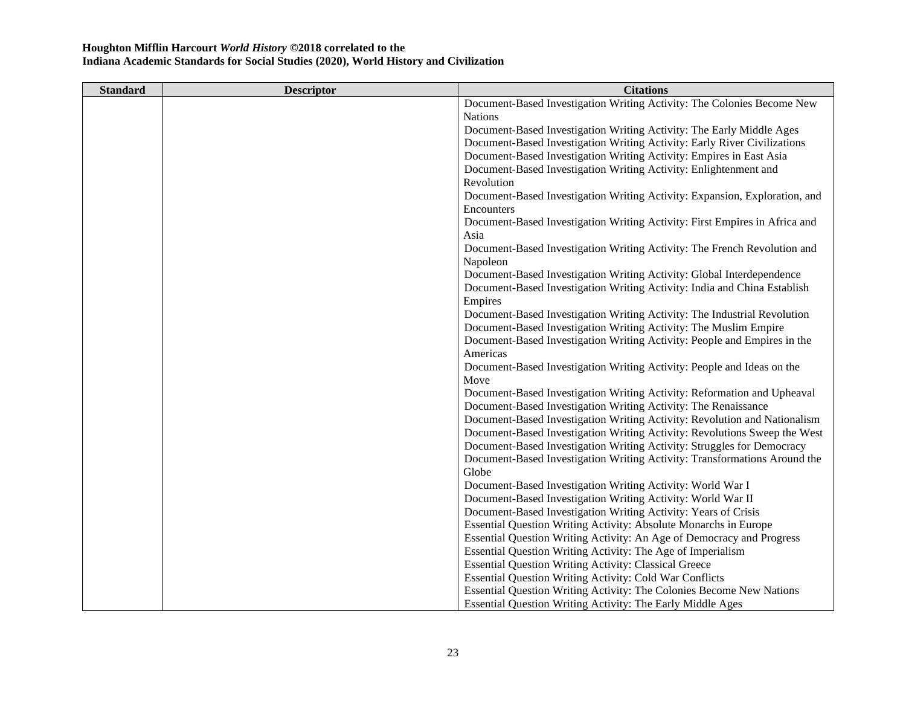| <b>Standard</b> | <b>Descriptor</b> | <b>Citations</b>                                                           |
|-----------------|-------------------|----------------------------------------------------------------------------|
|                 |                   | Document-Based Investigation Writing Activity: The Colonies Become New     |
|                 |                   | <b>Nations</b>                                                             |
|                 |                   | Document-Based Investigation Writing Activity: The Early Middle Ages       |
|                 |                   | Document-Based Investigation Writing Activity: Early River Civilizations   |
|                 |                   | Document-Based Investigation Writing Activity: Empires in East Asia        |
|                 |                   | Document-Based Investigation Writing Activity: Enlightenment and           |
|                 |                   | Revolution                                                                 |
|                 |                   | Document-Based Investigation Writing Activity: Expansion, Exploration, and |
|                 |                   | Encounters                                                                 |
|                 |                   | Document-Based Investigation Writing Activity: First Empires in Africa and |
|                 |                   | Asia                                                                       |
|                 |                   | Document-Based Investigation Writing Activity: The French Revolution and   |
|                 |                   | Napoleon                                                                   |
|                 |                   | Document-Based Investigation Writing Activity: Global Interdependence      |
|                 |                   | Document-Based Investigation Writing Activity: India and China Establish   |
|                 |                   | Empires                                                                    |
|                 |                   | Document-Based Investigation Writing Activity: The Industrial Revolution   |
|                 |                   | Document-Based Investigation Writing Activity: The Muslim Empire           |
|                 |                   | Document-Based Investigation Writing Activity: People and Empires in the   |
|                 |                   | Americas                                                                   |
|                 |                   | Document-Based Investigation Writing Activity: People and Ideas on the     |
|                 |                   | Move                                                                       |
|                 |                   | Document-Based Investigation Writing Activity: Reformation and Upheaval    |
|                 |                   | Document-Based Investigation Writing Activity: The Renaissance             |
|                 |                   | Document-Based Investigation Writing Activity: Revolution and Nationalism  |
|                 |                   | Document-Based Investigation Writing Activity: Revolutions Sweep the West  |
|                 |                   | Document-Based Investigation Writing Activity: Struggles for Democracy     |
|                 |                   | Document-Based Investigation Writing Activity: Transformations Around the  |
|                 |                   | Globe                                                                      |
|                 |                   | Document-Based Investigation Writing Activity: World War I                 |
|                 |                   | Document-Based Investigation Writing Activity: World War II                |
|                 |                   | Document-Based Investigation Writing Activity: Years of Crisis             |
|                 |                   | Essential Question Writing Activity: Absolute Monarchs in Europe           |
|                 |                   | Essential Question Writing Activity: An Age of Democracy and Progress      |
|                 |                   | Essential Question Writing Activity: The Age of Imperialism                |
|                 |                   | <b>Essential Question Writing Activity: Classical Greece</b>               |
|                 |                   | <b>Essential Question Writing Activity: Cold War Conflicts</b>             |
|                 |                   | Essential Question Writing Activity: The Colonies Become New Nations       |
|                 |                   | <b>Essential Question Writing Activity: The Early Middle Ages</b>          |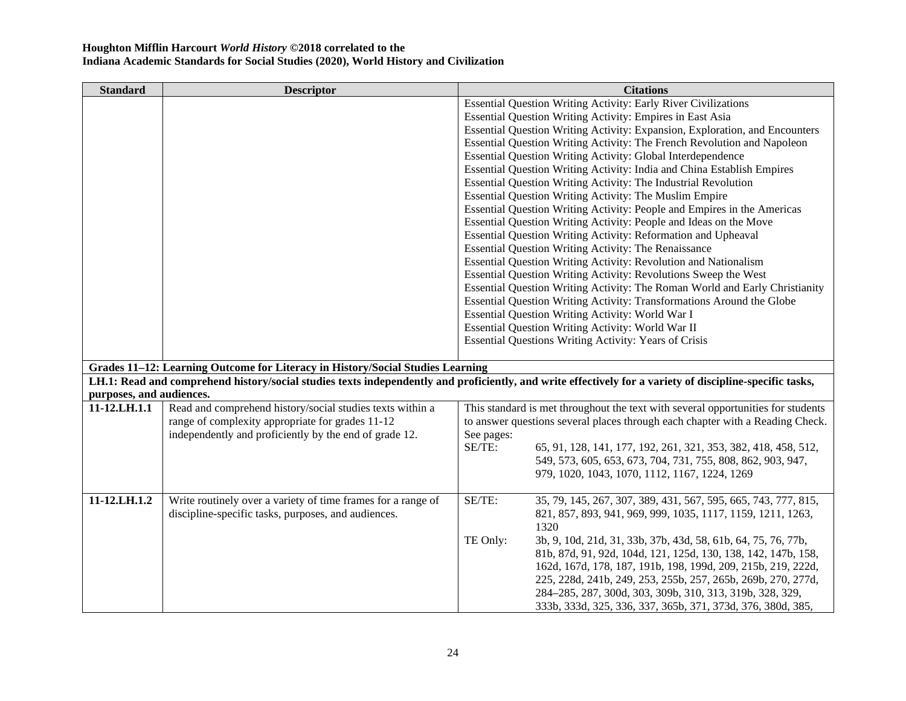| <b>Standard</b>          | <b>Descriptor</b>                                                              | <b>Citations</b>                                                                                                                                         |
|--------------------------|--------------------------------------------------------------------------------|----------------------------------------------------------------------------------------------------------------------------------------------------------|
|                          |                                                                                | Essential Question Writing Activity: Early River Civilizations                                                                                           |
|                          |                                                                                | Essential Question Writing Activity: Empires in East Asia                                                                                                |
|                          |                                                                                | Essential Question Writing Activity: Expansion, Exploration, and Encounters                                                                              |
|                          |                                                                                | Essential Question Writing Activity: The French Revolution and Napoleon                                                                                  |
|                          |                                                                                | <b>Essential Question Writing Activity: Global Interdependence</b>                                                                                       |
|                          |                                                                                | Essential Question Writing Activity: India and China Establish Empires                                                                                   |
|                          |                                                                                | Essential Question Writing Activity: The Industrial Revolution                                                                                           |
|                          |                                                                                | <b>Essential Question Writing Activity: The Muslim Empire</b>                                                                                            |
|                          |                                                                                | Essential Question Writing Activity: People and Empires in the Americas                                                                                  |
|                          |                                                                                | Essential Question Writing Activity: People and Ideas on the Move                                                                                        |
|                          |                                                                                | Essential Question Writing Activity: Reformation and Upheaval                                                                                            |
|                          |                                                                                | Essential Question Writing Activity: The Renaissance                                                                                                     |
|                          |                                                                                | Essential Question Writing Activity: Revolution and Nationalism                                                                                          |
|                          |                                                                                | Essential Question Writing Activity: Revolutions Sweep the West                                                                                          |
|                          |                                                                                | Essential Question Writing Activity: The Roman World and Early Christianity                                                                              |
|                          |                                                                                | Essential Question Writing Activity: Transformations Around the Globe                                                                                    |
|                          |                                                                                | Essential Question Writing Activity: World War I                                                                                                         |
|                          |                                                                                | Essential Question Writing Activity: World War II                                                                                                        |
|                          |                                                                                | Essential Questions Writing Activity: Years of Crisis                                                                                                    |
|                          |                                                                                |                                                                                                                                                          |
|                          | Grades 11-12: Learning Outcome for Literacy in History/Social Studies Learning |                                                                                                                                                          |
|                          |                                                                                | LH.1: Read and comprehend history/social studies texts independently and proficiently, and write effectively for a variety of discipline-specific tasks, |
| purposes, and audiences. |                                                                                |                                                                                                                                                          |
| 11-12.LH.1.1             | Read and comprehend history/social studies texts within a                      | This standard is met throughout the text with several opportunities for students                                                                         |
|                          | range of complexity appropriate for grades 11-12                               | to answer questions several places through each chapter with a Reading Check.                                                                            |
|                          | independently and proficiently by the end of grade 12.                         | See pages:                                                                                                                                               |
|                          |                                                                                | SE/TE:<br>65, 91, 128, 141, 177, 192, 261, 321, 353, 382, 418, 458, 512,                                                                                 |
|                          |                                                                                | 549, 573, 605, 653, 673, 704, 731, 755, 808, 862, 903, 947,                                                                                              |
|                          |                                                                                | 979, 1020, 1043, 1070, 1112, 1167, 1224, 1269                                                                                                            |
| 11-12.LH.1.2             | Write routinely over a variety of time frames for a range of                   | SE/TE:<br>35, 79, 145, 267, 307, 389, 431, 567, 595, 665, 743, 777, 815,                                                                                 |
|                          | discipline-specific tasks, purposes, and audiences.                            | 821, 857, 893, 941, 969, 999, 1035, 1117, 1159, 1211, 1263,                                                                                              |
|                          |                                                                                | 1320                                                                                                                                                     |
|                          |                                                                                | TE Only:<br>3b, 9, 10d, 21d, 31, 33b, 37b, 43d, 58, 61b, 64, 75, 76, 77b,                                                                                |
|                          |                                                                                | 81b, 87d, 91, 92d, 104d, 121, 125d, 130, 138, 142, 147b, 158,                                                                                            |
|                          |                                                                                | 162d, 167d, 178, 187, 191b, 198, 199d, 209, 215b, 219, 222d,                                                                                             |
|                          |                                                                                | 225, 228d, 241b, 249, 253, 255b, 257, 265b, 269b, 270, 277d,                                                                                             |
|                          |                                                                                | 284–285, 287, 300d, 303, 309b, 310, 313, 319b, 328, 329,                                                                                                 |
|                          |                                                                                | 333b, 333d, 325, 336, 337, 365b, 371, 373d, 376, 380d, 385,                                                                                              |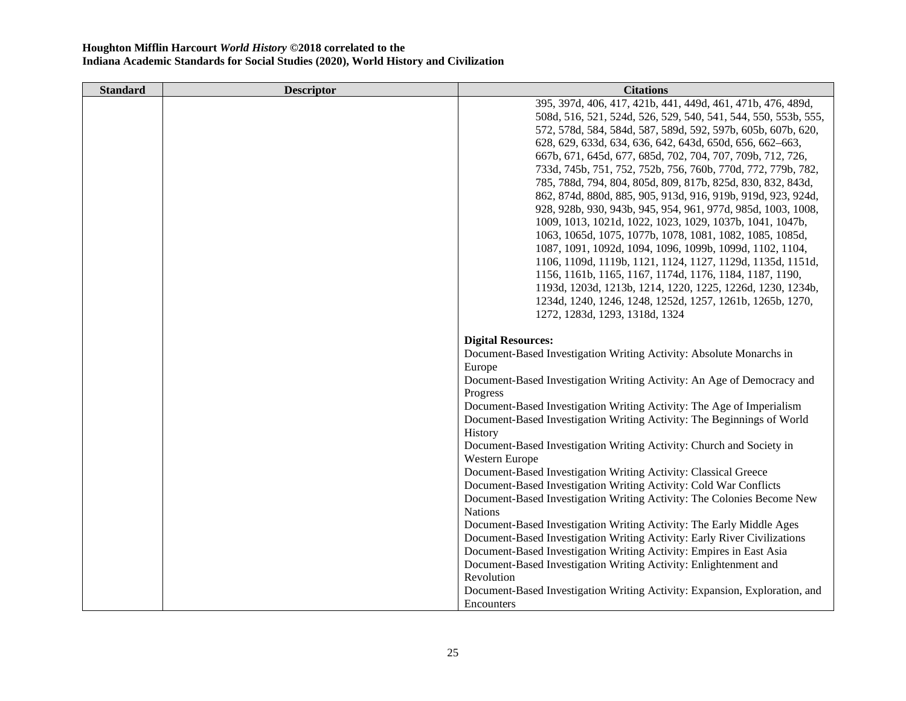| <b>Standard</b> | <b>Descriptor</b> | <b>Citations</b>                                                           |
|-----------------|-------------------|----------------------------------------------------------------------------|
|                 |                   | 395, 397d, 406, 417, 421b, 441, 449d, 461, 471b, 476, 489d,                |
|                 |                   | 508d, 516, 521, 524d, 526, 529, 540, 541, 544, 550, 553b, 555,             |
|                 |                   | 572, 578d, 584, 584d, 587, 589d, 592, 597b, 605b, 607b, 620,               |
|                 |                   | 628, 629, 633d, 634, 636, 642, 643d, 650d, 656, 662–663,                   |
|                 |                   | 667b, 671, 645d, 677, 685d, 702, 704, 707, 709b, 712, 726,                 |
|                 |                   | 733d, 745b, 751, 752, 752b, 756, 760b, 770d, 772, 779b, 782,               |
|                 |                   | 785, 788d, 794, 804, 805d, 809, 817b, 825d, 830, 832, 843d,                |
|                 |                   | 862, 874d, 880d, 885, 905, 913d, 916, 919b, 919d, 923, 924d,               |
|                 |                   | 928, 928b, 930, 943b, 945, 954, 961, 977d, 985d, 1003, 1008,               |
|                 |                   | 1009, 1013, 1021d, 1022, 1023, 1029, 1037b, 1041, 1047b,                   |
|                 |                   | 1063, 1065d, 1075, 1077b, 1078, 1081, 1082, 1085, 1085d,                   |
|                 |                   | 1087, 1091, 1092d, 1094, 1096, 1099b, 1099d, 1102, 1104,                   |
|                 |                   | 1106, 1109d, 1119b, 1121, 1124, 1127, 1129d, 1135d, 1151d,                 |
|                 |                   | 1156, 1161b, 1165, 1167, 1174d, 1176, 1184, 1187, 1190,                    |
|                 |                   | 1193d, 1203d, 1213b, 1214, 1220, 1225, 1226d, 1230, 1234b,                 |
|                 |                   | 1234d, 1240, 1246, 1248, 1252d, 1257, 1261b, 1265b, 1270,                  |
|                 |                   | 1272, 1283d, 1293, 1318d, 1324                                             |
|                 |                   | <b>Digital Resources:</b>                                                  |
|                 |                   | Document-Based Investigation Writing Activity: Absolute Monarchs in        |
|                 |                   | Europe                                                                     |
|                 |                   | Document-Based Investigation Writing Activity: An Age of Democracy and     |
|                 |                   | Progress                                                                   |
|                 |                   | Document-Based Investigation Writing Activity: The Age of Imperialism      |
|                 |                   | Document-Based Investigation Writing Activity: The Beginnings of World     |
|                 |                   | History                                                                    |
|                 |                   | Document-Based Investigation Writing Activity: Church and Society in       |
|                 |                   | Western Europe                                                             |
|                 |                   | Document-Based Investigation Writing Activity: Classical Greece            |
|                 |                   | Document-Based Investigation Writing Activity: Cold War Conflicts          |
|                 |                   | Document-Based Investigation Writing Activity: The Colonies Become New     |
|                 |                   | <b>Nations</b>                                                             |
|                 |                   | Document-Based Investigation Writing Activity: The Early Middle Ages       |
|                 |                   | Document-Based Investigation Writing Activity: Early River Civilizations   |
|                 |                   | Document-Based Investigation Writing Activity: Empires in East Asia        |
|                 |                   | Document-Based Investigation Writing Activity: Enlightenment and           |
|                 |                   | Revolution                                                                 |
|                 |                   | Document-Based Investigation Writing Activity: Expansion, Exploration, and |
|                 |                   | Encounters                                                                 |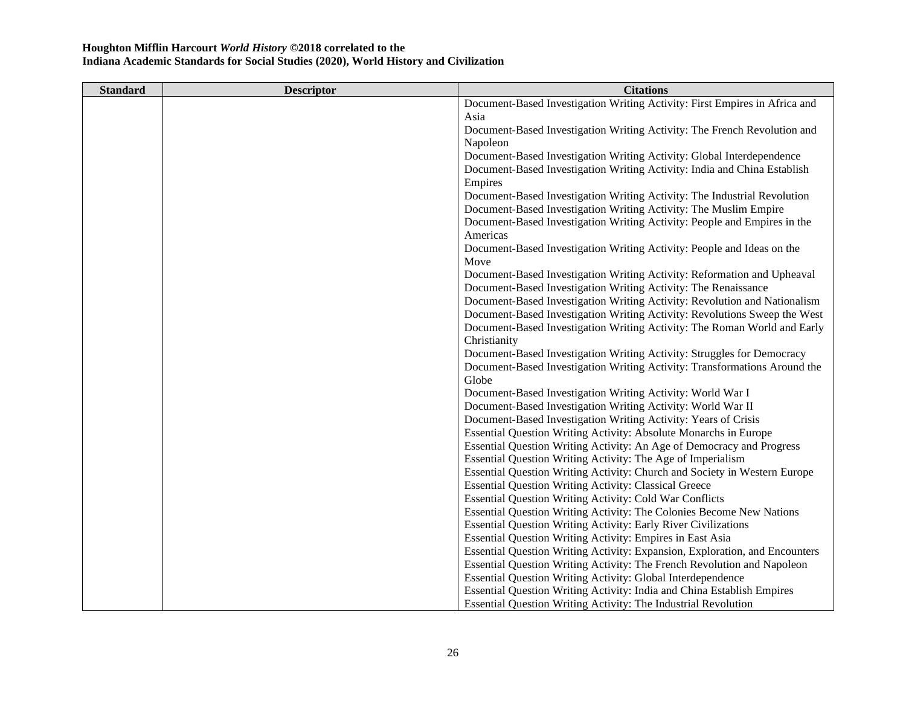| <b>Standard</b> | <b>Descriptor</b> | <b>Citations</b>                                                            |
|-----------------|-------------------|-----------------------------------------------------------------------------|
|                 |                   | Document-Based Investigation Writing Activity: First Empires in Africa and  |
|                 |                   | Asia                                                                        |
|                 |                   | Document-Based Investigation Writing Activity: The French Revolution and    |
|                 |                   | Napoleon                                                                    |
|                 |                   | Document-Based Investigation Writing Activity: Global Interdependence       |
|                 |                   | Document-Based Investigation Writing Activity: India and China Establish    |
|                 |                   | Empires                                                                     |
|                 |                   | Document-Based Investigation Writing Activity: The Industrial Revolution    |
|                 |                   | Document-Based Investigation Writing Activity: The Muslim Empire            |
|                 |                   | Document-Based Investigation Writing Activity: People and Empires in the    |
|                 |                   | Americas                                                                    |
|                 |                   | Document-Based Investigation Writing Activity: People and Ideas on the      |
|                 |                   | Move                                                                        |
|                 |                   | Document-Based Investigation Writing Activity: Reformation and Upheaval     |
|                 |                   | Document-Based Investigation Writing Activity: The Renaissance              |
|                 |                   | Document-Based Investigation Writing Activity: Revolution and Nationalism   |
|                 |                   | Document-Based Investigation Writing Activity: Revolutions Sweep the West   |
|                 |                   | Document-Based Investigation Writing Activity: The Roman World and Early    |
|                 |                   | Christianity                                                                |
|                 |                   | Document-Based Investigation Writing Activity: Struggles for Democracy      |
|                 |                   | Document-Based Investigation Writing Activity: Transformations Around the   |
|                 |                   | Globe                                                                       |
|                 |                   | Document-Based Investigation Writing Activity: World War I                  |
|                 |                   | Document-Based Investigation Writing Activity: World War II                 |
|                 |                   | Document-Based Investigation Writing Activity: Years of Crisis              |
|                 |                   | Essential Question Writing Activity: Absolute Monarchs in Europe            |
|                 |                   | Essential Question Writing Activity: An Age of Democracy and Progress       |
|                 |                   | Essential Question Writing Activity: The Age of Imperialism                 |
|                 |                   | Essential Question Writing Activity: Church and Society in Western Europe   |
|                 |                   | <b>Essential Question Writing Activity: Classical Greece</b>                |
|                 |                   | <b>Essential Question Writing Activity: Cold War Conflicts</b>              |
|                 |                   | Essential Question Writing Activity: The Colonies Become New Nations        |
|                 |                   | <b>Essential Question Writing Activity: Early River Civilizations</b>       |
|                 |                   | Essential Question Writing Activity: Empires in East Asia                   |
|                 |                   | Essential Question Writing Activity: Expansion, Exploration, and Encounters |
|                 |                   | Essential Question Writing Activity: The French Revolution and Napoleon     |
|                 |                   | <b>Essential Question Writing Activity: Global Interdependence</b>          |
|                 |                   | Essential Question Writing Activity: India and China Establish Empires      |
|                 |                   | <b>Essential Question Writing Activity: The Industrial Revolution</b>       |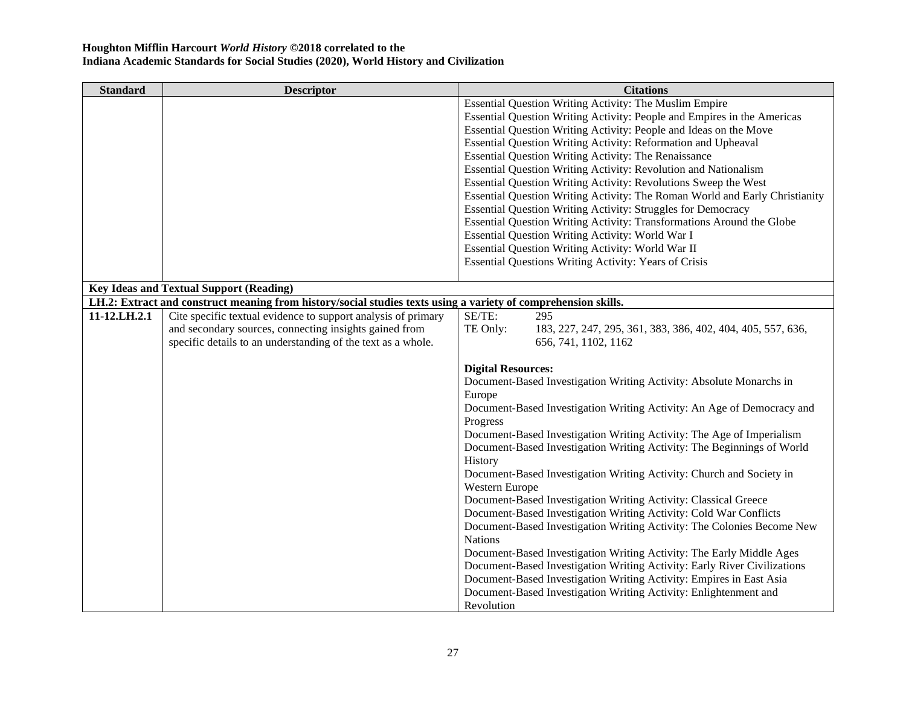| <b>Standard</b> | <b>Descriptor</b>                                                                                              | <b>Citations</b>                                                            |
|-----------------|----------------------------------------------------------------------------------------------------------------|-----------------------------------------------------------------------------|
|                 |                                                                                                                | Essential Question Writing Activity: The Muslim Empire                      |
|                 |                                                                                                                | Essential Question Writing Activity: People and Empires in the Americas     |
|                 |                                                                                                                | Essential Question Writing Activity: People and Ideas on the Move           |
|                 |                                                                                                                | Essential Question Writing Activity: Reformation and Upheaval               |
|                 |                                                                                                                | Essential Question Writing Activity: The Renaissance                        |
|                 |                                                                                                                | Essential Question Writing Activity: Revolution and Nationalism             |
|                 |                                                                                                                | Essential Question Writing Activity: Revolutions Sweep the West             |
|                 |                                                                                                                | Essential Question Writing Activity: The Roman World and Early Christianity |
|                 |                                                                                                                | <b>Essential Question Writing Activity: Struggles for Democracy</b>         |
|                 |                                                                                                                | Essential Question Writing Activity: Transformations Around the Globe       |
|                 |                                                                                                                | Essential Question Writing Activity: World War I                            |
|                 |                                                                                                                | Essential Question Writing Activity: World War II                           |
|                 |                                                                                                                | <b>Essential Questions Writing Activity: Years of Crisis</b>                |
|                 |                                                                                                                |                                                                             |
|                 | <b>Key Ideas and Textual Support (Reading)</b>                                                                 |                                                                             |
|                 | LH.2: Extract and construct meaning from history/social studies texts using a variety of comprehension skills. |                                                                             |
| 11-12.LH.2.1    | Cite specific textual evidence to support analysis of primary                                                  | SE/TE:<br>295                                                               |
|                 | and secondary sources, connecting insights gained from                                                         | TE Only:<br>183, 227, 247, 295, 361, 383, 386, 402, 404, 405, 557, 636,     |
|                 | specific details to an understanding of the text as a whole.                                                   | 656, 741, 1102, 1162                                                        |
|                 |                                                                                                                |                                                                             |
|                 |                                                                                                                | <b>Digital Resources:</b>                                                   |
|                 |                                                                                                                | Document-Based Investigation Writing Activity: Absolute Monarchs in         |
|                 |                                                                                                                | Europe                                                                      |
|                 |                                                                                                                | Document-Based Investigation Writing Activity: An Age of Democracy and      |
|                 |                                                                                                                | Progress                                                                    |
|                 |                                                                                                                | Document-Based Investigation Writing Activity: The Age of Imperialism       |
|                 |                                                                                                                | Document-Based Investigation Writing Activity: The Beginnings of World      |
|                 |                                                                                                                | History                                                                     |
|                 |                                                                                                                | Document-Based Investigation Writing Activity: Church and Society in        |
|                 |                                                                                                                | Western Europe                                                              |
|                 |                                                                                                                | Document-Based Investigation Writing Activity: Classical Greece             |
|                 |                                                                                                                | Document-Based Investigation Writing Activity: Cold War Conflicts           |
|                 |                                                                                                                | Document-Based Investigation Writing Activity: The Colonies Become New      |
|                 |                                                                                                                | <b>Nations</b>                                                              |
|                 |                                                                                                                | Document-Based Investigation Writing Activity: The Early Middle Ages        |
|                 |                                                                                                                | Document-Based Investigation Writing Activity: Early River Civilizations    |
|                 |                                                                                                                | Document-Based Investigation Writing Activity: Empires in East Asia         |
|                 |                                                                                                                | Document-Based Investigation Writing Activity: Enlightenment and            |
|                 |                                                                                                                | Revolution                                                                  |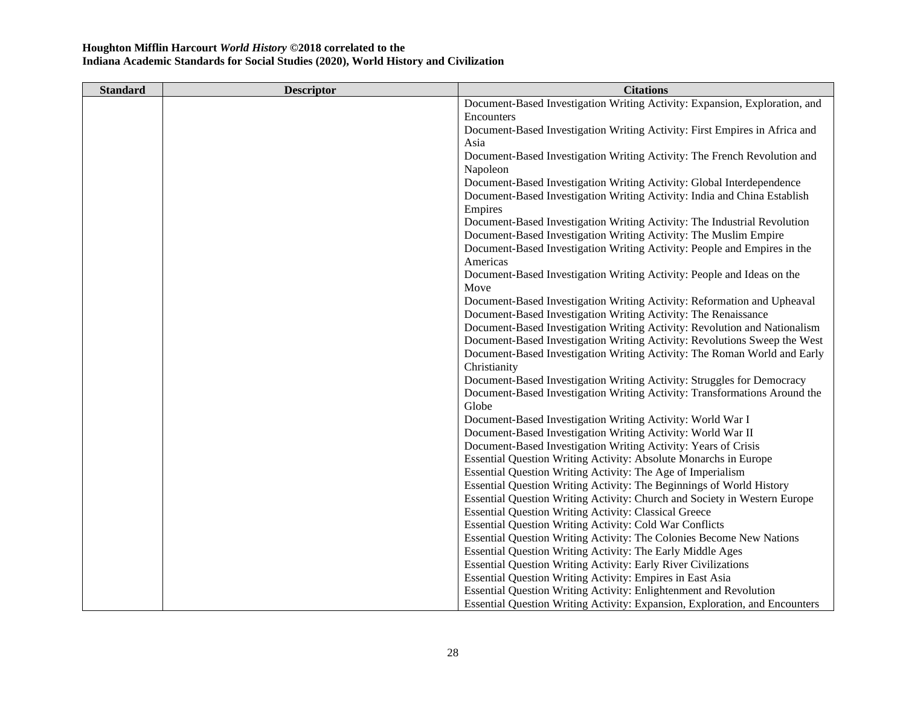| <b>Standard</b> | <b>Descriptor</b> | <b>Citations</b>                                                            |
|-----------------|-------------------|-----------------------------------------------------------------------------|
|                 |                   | Document-Based Investigation Writing Activity: Expansion, Exploration, and  |
|                 |                   | Encounters                                                                  |
|                 |                   | Document-Based Investigation Writing Activity: First Empires in Africa and  |
|                 |                   | Asia                                                                        |
|                 |                   | Document-Based Investigation Writing Activity: The French Revolution and    |
|                 |                   | Napoleon                                                                    |
|                 |                   | Document-Based Investigation Writing Activity: Global Interdependence       |
|                 |                   | Document-Based Investigation Writing Activity: India and China Establish    |
|                 |                   | Empires                                                                     |
|                 |                   | Document-Based Investigation Writing Activity: The Industrial Revolution    |
|                 |                   | Document-Based Investigation Writing Activity: The Muslim Empire            |
|                 |                   | Document-Based Investigation Writing Activity: People and Empires in the    |
|                 |                   | Americas                                                                    |
|                 |                   | Document-Based Investigation Writing Activity: People and Ideas on the      |
|                 |                   | Move                                                                        |
|                 |                   | Document-Based Investigation Writing Activity: Reformation and Upheaval     |
|                 |                   | Document-Based Investigation Writing Activity: The Renaissance              |
|                 |                   | Document-Based Investigation Writing Activity: Revolution and Nationalism   |
|                 |                   | Document-Based Investigation Writing Activity: Revolutions Sweep the West   |
|                 |                   | Document-Based Investigation Writing Activity: The Roman World and Early    |
|                 |                   | Christianity                                                                |
|                 |                   | Document-Based Investigation Writing Activity: Struggles for Democracy      |
|                 |                   | Document-Based Investigation Writing Activity: Transformations Around the   |
|                 |                   | Globe                                                                       |
|                 |                   | Document-Based Investigation Writing Activity: World War I                  |
|                 |                   | Document-Based Investigation Writing Activity: World War II                 |
|                 |                   | Document-Based Investigation Writing Activity: Years of Crisis              |
|                 |                   | Essential Question Writing Activity: Absolute Monarchs in Europe            |
|                 |                   | Essential Question Writing Activity: The Age of Imperialism                 |
|                 |                   | Essential Question Writing Activity: The Beginnings of World History        |
|                 |                   | Essential Question Writing Activity: Church and Society in Western Europe   |
|                 |                   | <b>Essential Question Writing Activity: Classical Greece</b>                |
|                 |                   | <b>Essential Question Writing Activity: Cold War Conflicts</b>              |
|                 |                   | Essential Question Writing Activity: The Colonies Become New Nations        |
|                 |                   | Essential Question Writing Activity: The Early Middle Ages                  |
|                 |                   | <b>Essential Question Writing Activity: Early River Civilizations</b>       |
|                 |                   | <b>Essential Question Writing Activity: Empires in East Asia</b>            |
|                 |                   | Essential Question Writing Activity: Enlightenment and Revolution           |
|                 |                   | Essential Question Writing Activity: Expansion, Exploration, and Encounters |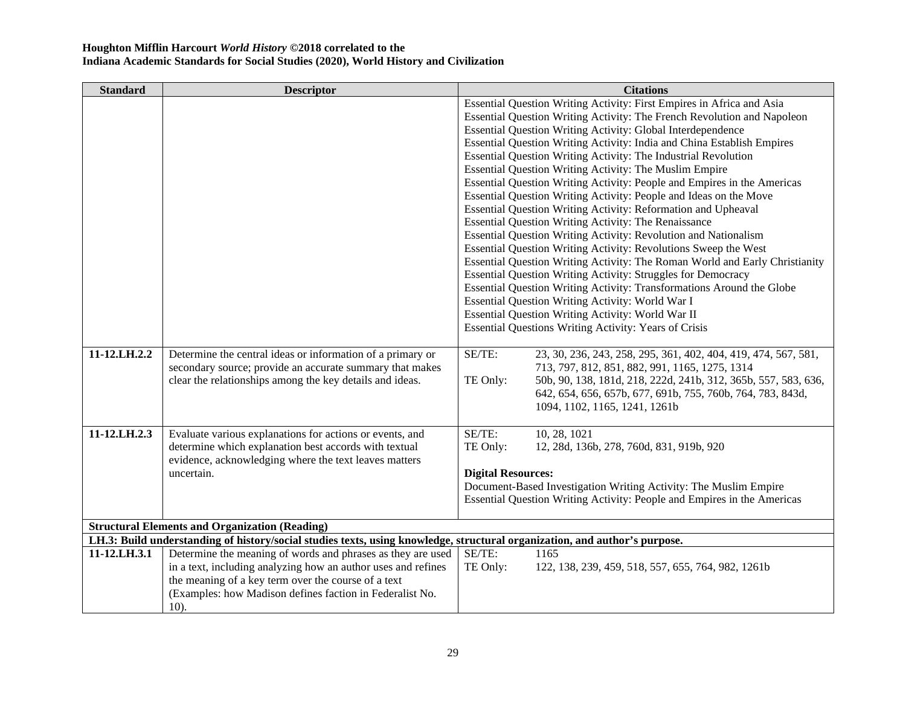| <b>Standard</b> | <b>Descriptor</b>                                                                                                          |                           | <b>Citations</b>                                                            |
|-----------------|----------------------------------------------------------------------------------------------------------------------------|---------------------------|-----------------------------------------------------------------------------|
|                 |                                                                                                                            |                           | Essential Question Writing Activity: First Empires in Africa and Asia       |
|                 |                                                                                                                            |                           | Essential Question Writing Activity: The French Revolution and Napoleon     |
|                 |                                                                                                                            |                           | Essential Question Writing Activity: Global Interdependence                 |
|                 |                                                                                                                            |                           | Essential Question Writing Activity: India and China Establish Empires      |
|                 |                                                                                                                            |                           | Essential Question Writing Activity: The Industrial Revolution              |
|                 |                                                                                                                            |                           | Essential Question Writing Activity: The Muslim Empire                      |
|                 |                                                                                                                            |                           | Essential Question Writing Activity: People and Empires in the Americas     |
|                 |                                                                                                                            |                           | Essential Question Writing Activity: People and Ideas on the Move           |
|                 |                                                                                                                            |                           | Essential Question Writing Activity: Reformation and Upheaval               |
|                 |                                                                                                                            |                           | Essential Question Writing Activity: The Renaissance                        |
|                 |                                                                                                                            |                           | Essential Question Writing Activity: Revolution and Nationalism             |
|                 |                                                                                                                            |                           | Essential Question Writing Activity: Revolutions Sweep the West             |
|                 |                                                                                                                            |                           | Essential Question Writing Activity: The Roman World and Early Christianity |
|                 |                                                                                                                            |                           | Essential Question Writing Activity: Struggles for Democracy                |
|                 |                                                                                                                            |                           | Essential Question Writing Activity: Transformations Around the Globe       |
|                 |                                                                                                                            |                           | Essential Question Writing Activity: World War I                            |
|                 |                                                                                                                            |                           | Essential Question Writing Activity: World War II                           |
|                 |                                                                                                                            |                           | <b>Essential Questions Writing Activity: Years of Crisis</b>                |
|                 |                                                                                                                            |                           |                                                                             |
| 11-12.LH.2.2    | Determine the central ideas or information of a primary or                                                                 | SE/TE:                    | 23, 30, 236, 243, 258, 295, 361, 402, 404, 419, 474, 567, 581,              |
|                 | secondary source; provide an accurate summary that makes                                                                   |                           | 713, 797, 812, 851, 882, 991, 1165, 1275, 1314                              |
|                 | clear the relationships among the key details and ideas.                                                                   | TE Only:                  | 50b, 90, 138, 181d, 218, 222d, 241b, 312, 365b, 557, 583, 636,              |
|                 |                                                                                                                            |                           | 642, 654, 656, 657b, 677, 691b, 755, 760b, 764, 783, 843d,                  |
|                 |                                                                                                                            |                           | 1094, 1102, 1165, 1241, 1261b                                               |
|                 |                                                                                                                            |                           |                                                                             |
| 11-12.LH.2.3    | Evaluate various explanations for actions or events, and                                                                   | SE/TE:                    | 10, 28, 1021                                                                |
|                 | determine which explanation best accords with textual                                                                      | TE Only:                  | 12, 28d, 136b, 278, 760d, 831, 919b, 920                                    |
|                 | evidence, acknowledging where the text leaves matters                                                                      |                           |                                                                             |
|                 | uncertain.                                                                                                                 | <b>Digital Resources:</b> |                                                                             |
|                 |                                                                                                                            |                           | Document-Based Investigation Writing Activity: The Muslim Empire            |
|                 |                                                                                                                            |                           | Essential Question Writing Activity: People and Empires in the Americas     |
|                 | <b>Structural Elements and Organization (Reading)</b>                                                                      |                           |                                                                             |
|                 | LH.3: Build understanding of history/social studies texts, using knowledge, structural organization, and author's purpose. |                           |                                                                             |
| 11-12.LH.3.1    | Determine the meaning of words and phrases as they are used                                                                | SE/TE:                    | 1165                                                                        |
|                 | in a text, including analyzing how an author uses and refines                                                              | TE Only:                  | 122, 138, 239, 459, 518, 557, 655, 764, 982, 1261b                          |
|                 |                                                                                                                            |                           |                                                                             |
|                 |                                                                                                                            |                           |                                                                             |
|                 | the meaning of a key term over the course of a text<br>(Examples: how Madison defines faction in Federalist No.            |                           |                                                                             |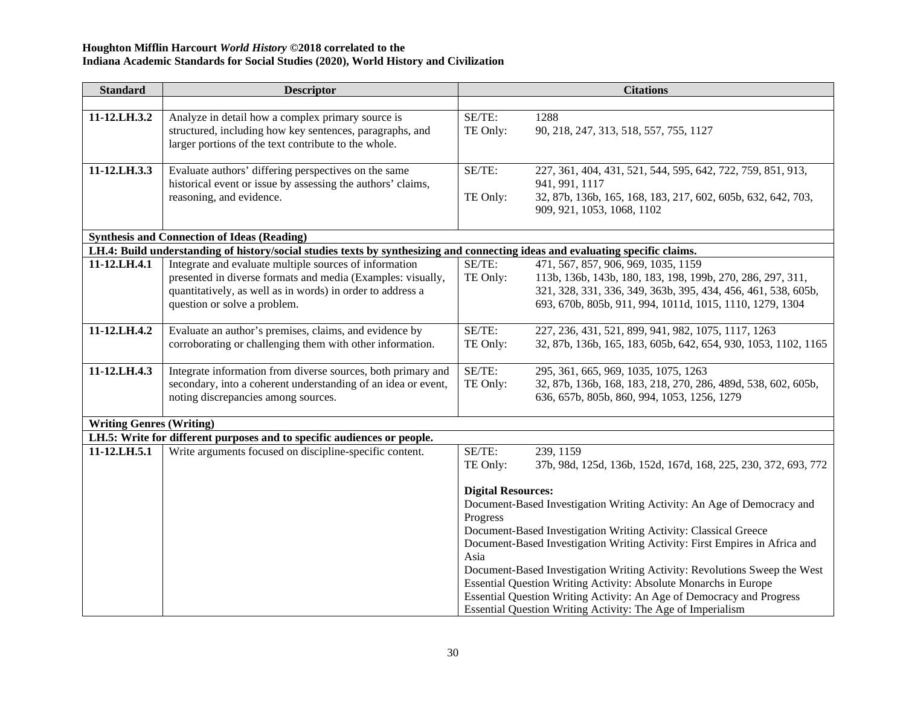| <b>Standard</b>                 | <b>Descriptor</b>                                                                                                              |                           | <b>Citations</b>                                                               |
|---------------------------------|--------------------------------------------------------------------------------------------------------------------------------|---------------------------|--------------------------------------------------------------------------------|
|                                 |                                                                                                                                |                           |                                                                                |
| 11-12.LH.3.2                    | Analyze in detail how a complex primary source is                                                                              | SE/TE:                    | 1288                                                                           |
|                                 | structured, including how key sentences, paragraphs, and<br>larger portions of the text contribute to the whole.               | TE Only:                  | 90, 218, 247, 313, 518, 557, 755, 1127                                         |
|                                 |                                                                                                                                |                           |                                                                                |
| 11-12.LH.3.3                    | Evaluate authors' differing perspectives on the same                                                                           | SE/TE:                    | 227, 361, 404, 431, 521, 544, 595, 642, 722, 759, 851, 913,                    |
|                                 | historical event or issue by assessing the authors' claims,<br>reasoning, and evidence.                                        | TE Only:                  | 941, 991, 1117<br>32, 87b, 136b, 165, 168, 183, 217, 602, 605b, 632, 642, 703, |
|                                 |                                                                                                                                |                           | 909, 921, 1053, 1068, 1102                                                     |
|                                 | <b>Synthesis and Connection of Ideas (Reading)</b>                                                                             |                           |                                                                                |
|                                 | LH.4: Build understanding of history/social studies texts by synthesizing and connecting ideas and evaluating specific claims. |                           |                                                                                |
| 11-12.LH.4.1                    | Integrate and evaluate multiple sources of information                                                                         | SE/TE:                    | 471, 567, 857, 906, 969, 1035, 1159                                            |
|                                 | presented in diverse formats and media (Examples: visually,                                                                    | TE Only:                  | 113b, 136b, 143b, 180, 183, 198, 199b, 270, 286, 297, 311,                     |
|                                 | quantitatively, as well as in words) in order to address a                                                                     |                           | 321, 328, 331, 336, 349, 363b, 395, 434, 456, 461, 538, 605b,                  |
|                                 | question or solve a problem.                                                                                                   |                           | 693, 670b, 805b, 911, 994, 1011d, 1015, 1110, 1279, 1304                       |
|                                 |                                                                                                                                |                           |                                                                                |
| 11-12.LH.4.2                    | Evaluate an author's premises, claims, and evidence by                                                                         | SE/TE:                    | 227, 236, 431, 521, 899, 941, 982, 1075, 1117, 1263                            |
|                                 | corroborating or challenging them with other information.                                                                      | TE Only:                  | 32, 87b, 136b, 165, 183, 605b, 642, 654, 930, 1053, 1102, 1165                 |
| 11-12.LH.4.3                    |                                                                                                                                | SE/TE:                    | 295, 361, 665, 969, 1035, 1075, 1263                                           |
|                                 | Integrate information from diverse sources, both primary and<br>secondary, into a coherent understanding of an idea or event,  | TE Only:                  | 32, 87b, 136b, 168, 183, 218, 270, 286, 489d, 538, 602, 605b,                  |
|                                 | noting discrepancies among sources.                                                                                            |                           | 636, 657b, 805b, 860, 994, 1053, 1256, 1279                                    |
|                                 |                                                                                                                                |                           |                                                                                |
| <b>Writing Genres (Writing)</b> |                                                                                                                                |                           |                                                                                |
|                                 | LH.5: Write for different purposes and to specific audiences or people.                                                        |                           |                                                                                |
| 11-12.LH.5.1                    | Write arguments focused on discipline-specific content.                                                                        | SE/TE:                    | 239, 1159                                                                      |
|                                 |                                                                                                                                | TE Only:                  | 37b, 98d, 125d, 136b, 152d, 167d, 168, 225, 230, 372, 693, 772                 |
|                                 |                                                                                                                                | <b>Digital Resources:</b> |                                                                                |
|                                 |                                                                                                                                |                           | Document-Based Investigation Writing Activity: An Age of Democracy and         |
|                                 |                                                                                                                                | Progress                  |                                                                                |
|                                 |                                                                                                                                |                           | Document-Based Investigation Writing Activity: Classical Greece                |
|                                 |                                                                                                                                |                           | Document-Based Investigation Writing Activity: First Empires in Africa and     |
|                                 |                                                                                                                                | Asia                      |                                                                                |
|                                 |                                                                                                                                |                           | Document-Based Investigation Writing Activity: Revolutions Sweep the West      |
|                                 |                                                                                                                                |                           | Essential Question Writing Activity: Absolute Monarchs in Europe               |
|                                 |                                                                                                                                |                           | Essential Question Writing Activity: An Age of Democracy and Progress          |
|                                 |                                                                                                                                |                           | Essential Question Writing Activity: The Age of Imperialism                    |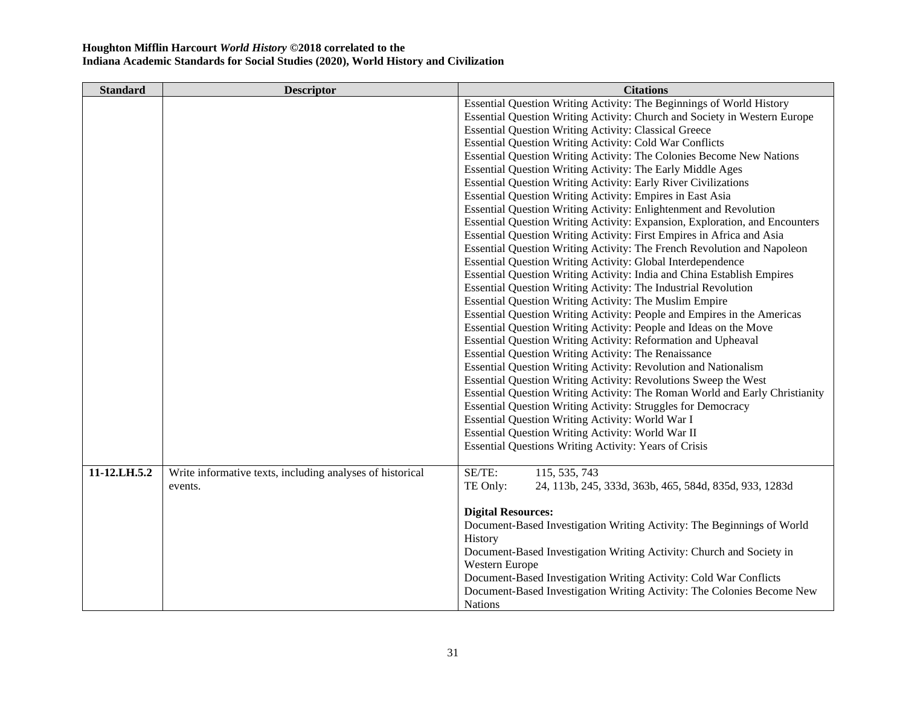| <b>Standard</b> | <b>Descriptor</b>                                         | <b>Citations</b>                                                            |
|-----------------|-----------------------------------------------------------|-----------------------------------------------------------------------------|
|                 |                                                           | Essential Question Writing Activity: The Beginnings of World History        |
|                 |                                                           | Essential Question Writing Activity: Church and Society in Western Europe   |
|                 |                                                           | <b>Essential Question Writing Activity: Classical Greece</b>                |
|                 |                                                           | Essential Question Writing Activity: Cold War Conflicts                     |
|                 |                                                           | Essential Question Writing Activity: The Colonies Become New Nations        |
|                 |                                                           | Essential Question Writing Activity: The Early Middle Ages                  |
|                 |                                                           | <b>Essential Question Writing Activity: Early River Civilizations</b>       |
|                 |                                                           | Essential Question Writing Activity: Empires in East Asia                   |
|                 |                                                           | Essential Question Writing Activity: Enlightenment and Revolution           |
|                 |                                                           | Essential Question Writing Activity: Expansion, Exploration, and Encounters |
|                 |                                                           | Essential Question Writing Activity: First Empires in Africa and Asia       |
|                 |                                                           | Essential Question Writing Activity: The French Revolution and Napoleon     |
|                 |                                                           | Essential Question Writing Activity: Global Interdependence                 |
|                 |                                                           | Essential Question Writing Activity: India and China Establish Empires      |
|                 |                                                           | Essential Question Writing Activity: The Industrial Revolution              |
|                 |                                                           | Essential Question Writing Activity: The Muslim Empire                      |
|                 |                                                           | Essential Question Writing Activity: People and Empires in the Americas     |
|                 |                                                           | Essential Question Writing Activity: People and Ideas on the Move           |
|                 |                                                           | Essential Question Writing Activity: Reformation and Upheaval               |
|                 |                                                           | <b>Essential Question Writing Activity: The Renaissance</b>                 |
|                 |                                                           | <b>Essential Question Writing Activity: Revolution and Nationalism</b>      |
|                 |                                                           | Essential Question Writing Activity: Revolutions Sweep the West             |
|                 |                                                           | Essential Question Writing Activity: The Roman World and Early Christianity |
|                 |                                                           | Essential Question Writing Activity: Struggles for Democracy                |
|                 |                                                           | Essential Question Writing Activity: World War I                            |
|                 |                                                           | Essential Question Writing Activity: World War II                           |
|                 |                                                           | <b>Essential Questions Writing Activity: Years of Crisis</b>                |
| 11-12.LH.5.2    | Write informative texts, including analyses of historical | SE/TE:<br>115, 535, 743                                                     |
|                 | events.                                                   | TE Only:<br>24, 113b, 245, 333d, 363b, 465, 584d, 835d, 933, 1283d          |
|                 |                                                           |                                                                             |
|                 |                                                           | <b>Digital Resources:</b>                                                   |
|                 |                                                           | Document-Based Investigation Writing Activity: The Beginnings of World      |
|                 |                                                           | History                                                                     |
|                 |                                                           | Document-Based Investigation Writing Activity: Church and Society in        |
|                 |                                                           | Western Europe                                                              |
|                 |                                                           | Document-Based Investigation Writing Activity: Cold War Conflicts           |
|                 |                                                           | Document-Based Investigation Writing Activity: The Colonies Become New      |
|                 |                                                           | <b>Nations</b>                                                              |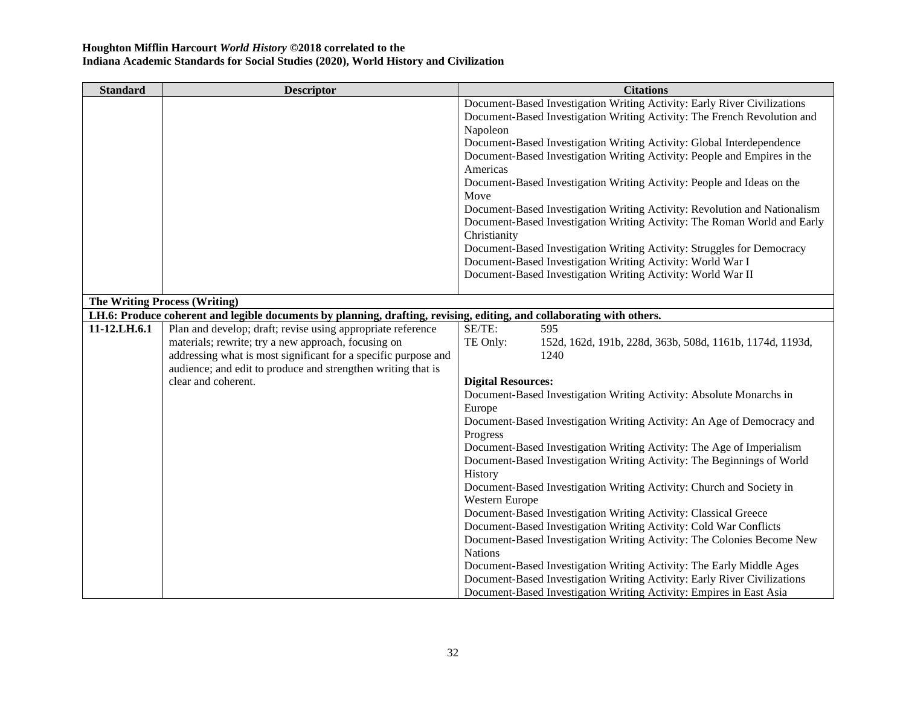| <b>Standard</b> | <b>Descriptor</b>                                                                                                     | <b>Citations</b>                                                          |
|-----------------|-----------------------------------------------------------------------------------------------------------------------|---------------------------------------------------------------------------|
|                 |                                                                                                                       | Document-Based Investigation Writing Activity: Early River Civilizations  |
|                 |                                                                                                                       | Document-Based Investigation Writing Activity: The French Revolution and  |
|                 |                                                                                                                       | Napoleon                                                                  |
|                 |                                                                                                                       | Document-Based Investigation Writing Activity: Global Interdependence     |
|                 |                                                                                                                       | Document-Based Investigation Writing Activity: People and Empires in the  |
|                 |                                                                                                                       | Americas                                                                  |
|                 |                                                                                                                       | Document-Based Investigation Writing Activity: People and Ideas on the    |
|                 |                                                                                                                       | Move                                                                      |
|                 |                                                                                                                       | Document-Based Investigation Writing Activity: Revolution and Nationalism |
|                 |                                                                                                                       | Document-Based Investigation Writing Activity: The Roman World and Early  |
|                 |                                                                                                                       | Christianity                                                              |
|                 |                                                                                                                       | Document-Based Investigation Writing Activity: Struggles for Democracy    |
|                 |                                                                                                                       | Document-Based Investigation Writing Activity: World War I                |
|                 |                                                                                                                       | Document-Based Investigation Writing Activity: World War II               |
|                 |                                                                                                                       |                                                                           |
|                 | <b>The Writing Process (Writing)</b>                                                                                  |                                                                           |
|                 | LH.6: Produce coherent and legible documents by planning, drafting, revising, editing, and collaborating with others. |                                                                           |
| 11-12.LH.6.1    | Plan and develop; draft; revise using appropriate reference                                                           | SE/TE:<br>595                                                             |
|                 | materials; rewrite; try a new approach, focusing on                                                                   | TE Only:<br>152d, 162d, 191b, 228d, 363b, 508d, 1161b, 1174d, 1193d,      |
|                 | addressing what is most significant for a specific purpose and                                                        | 1240                                                                      |
|                 | audience; and edit to produce and strengthen writing that is                                                          |                                                                           |
|                 | clear and coherent.                                                                                                   | <b>Digital Resources:</b>                                                 |
|                 |                                                                                                                       | Document-Based Investigation Writing Activity: Absolute Monarchs in       |
|                 |                                                                                                                       | Europe                                                                    |
|                 |                                                                                                                       | Document-Based Investigation Writing Activity: An Age of Democracy and    |
|                 |                                                                                                                       | Progress                                                                  |
|                 |                                                                                                                       | Document-Based Investigation Writing Activity: The Age of Imperialism     |
|                 |                                                                                                                       | Document-Based Investigation Writing Activity: The Beginnings of World    |
|                 |                                                                                                                       | History                                                                   |
|                 |                                                                                                                       | Document-Based Investigation Writing Activity: Church and Society in      |
|                 |                                                                                                                       | Western Europe                                                            |
|                 |                                                                                                                       | Document-Based Investigation Writing Activity: Classical Greece           |
|                 |                                                                                                                       | Document-Based Investigation Writing Activity: Cold War Conflicts         |
|                 |                                                                                                                       | Document-Based Investigation Writing Activity: The Colonies Become New    |
|                 |                                                                                                                       | <b>Nations</b>                                                            |
|                 |                                                                                                                       | Document-Based Investigation Writing Activity: The Early Middle Ages      |
|                 |                                                                                                                       | Document-Based Investigation Writing Activity: Early River Civilizations  |
|                 |                                                                                                                       | Document-Based Investigation Writing Activity: Empires in East Asia       |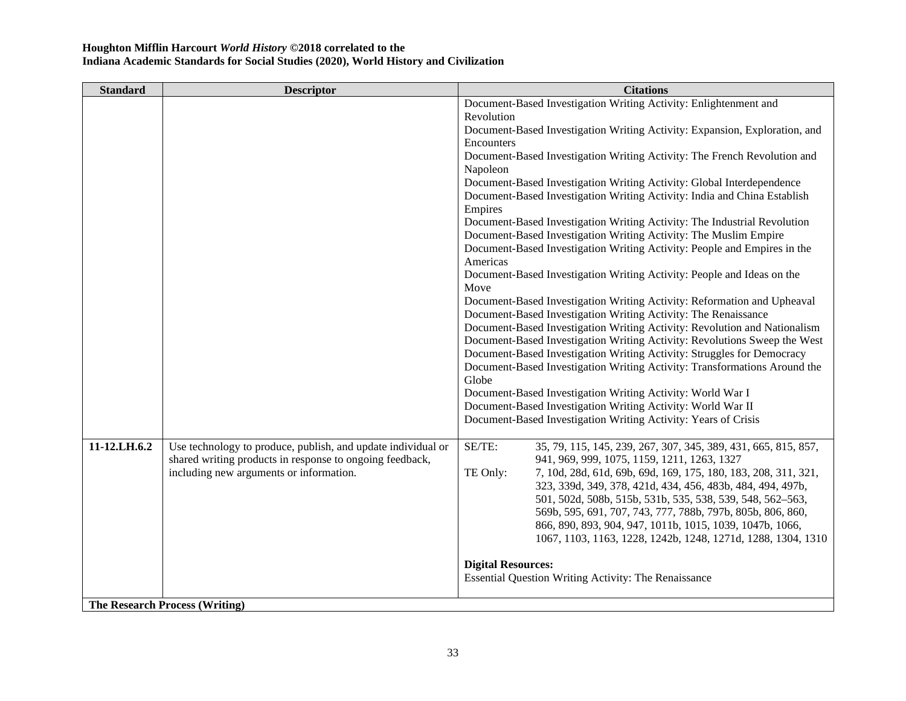| <b>Standard</b> | <b>Descriptor</b>                                            | <b>Citations</b>                                                                                                        |
|-----------------|--------------------------------------------------------------|-------------------------------------------------------------------------------------------------------------------------|
|                 |                                                              | Document-Based Investigation Writing Activity: Enlightenment and                                                        |
|                 |                                                              | Revolution                                                                                                              |
|                 |                                                              | Document-Based Investigation Writing Activity: Expansion, Exploration, and                                              |
|                 |                                                              | Encounters                                                                                                              |
|                 |                                                              | Document-Based Investigation Writing Activity: The French Revolution and                                                |
|                 |                                                              | Napoleon                                                                                                                |
|                 |                                                              | Document-Based Investigation Writing Activity: Global Interdependence                                                   |
|                 |                                                              | Document-Based Investigation Writing Activity: India and China Establish                                                |
|                 |                                                              | Empires                                                                                                                 |
|                 |                                                              | Document-Based Investigation Writing Activity: The Industrial Revolution                                                |
|                 |                                                              | Document-Based Investigation Writing Activity: The Muslim Empire                                                        |
|                 |                                                              | Document-Based Investigation Writing Activity: People and Empires in the                                                |
|                 |                                                              | Americas                                                                                                                |
|                 |                                                              | Document-Based Investigation Writing Activity: People and Ideas on the                                                  |
|                 |                                                              | Move                                                                                                                    |
|                 |                                                              | Document-Based Investigation Writing Activity: Reformation and Upheaval                                                 |
|                 |                                                              | Document-Based Investigation Writing Activity: The Renaissance                                                          |
|                 |                                                              | Document-Based Investigation Writing Activity: Revolution and Nationalism                                               |
|                 |                                                              | Document-Based Investigation Writing Activity: Revolutions Sweep the West                                               |
|                 |                                                              | Document-Based Investigation Writing Activity: Struggles for Democracy                                                  |
|                 |                                                              | Document-Based Investigation Writing Activity: Transformations Around the                                               |
|                 |                                                              | Globe                                                                                                                   |
|                 |                                                              | Document-Based Investigation Writing Activity: World War I                                                              |
|                 |                                                              | Document-Based Investigation Writing Activity: World War II                                                             |
|                 |                                                              | Document-Based Investigation Writing Activity: Years of Crisis                                                          |
|                 |                                                              |                                                                                                                         |
| 11-12.LH.6.2    | Use technology to produce, publish, and update individual or | SE/TE:<br>35, 79, 115, 145, 239, 267, 307, 345, 389, 431, 665, 815, 857,                                                |
|                 | shared writing products in response to ongoing feedback,     | 941, 969, 999, 1075, 1159, 1211, 1263, 1327                                                                             |
|                 | including new arguments or information.                      | TE Only:<br>7, 10d, 28d, 61d, 69b, 69d, 169, 175, 180, 183, 208, 311, 321,                                              |
|                 |                                                              | 323, 339d, 349, 378, 421d, 434, 456, 483b, 484, 494, 497b,                                                              |
|                 |                                                              | 501, 502d, 508b, 515b, 531b, 535, 538, 539, 548, 562-563,<br>569b, 595, 691, 707, 743, 777, 788b, 797b, 805b, 806, 860, |
|                 |                                                              | 866, 890, 893, 904, 947, 1011b, 1015, 1039, 1047b, 1066,                                                                |
|                 |                                                              | 1067, 1103, 1163, 1228, 1242b, 1248, 1271d, 1288, 1304, 1310                                                            |
|                 |                                                              |                                                                                                                         |
|                 |                                                              | <b>Digital Resources:</b>                                                                                               |
|                 |                                                              | Essential Question Writing Activity: The Renaissance                                                                    |
|                 |                                                              |                                                                                                                         |
|                 | <b>The Research Process (Writing)</b>                        |                                                                                                                         |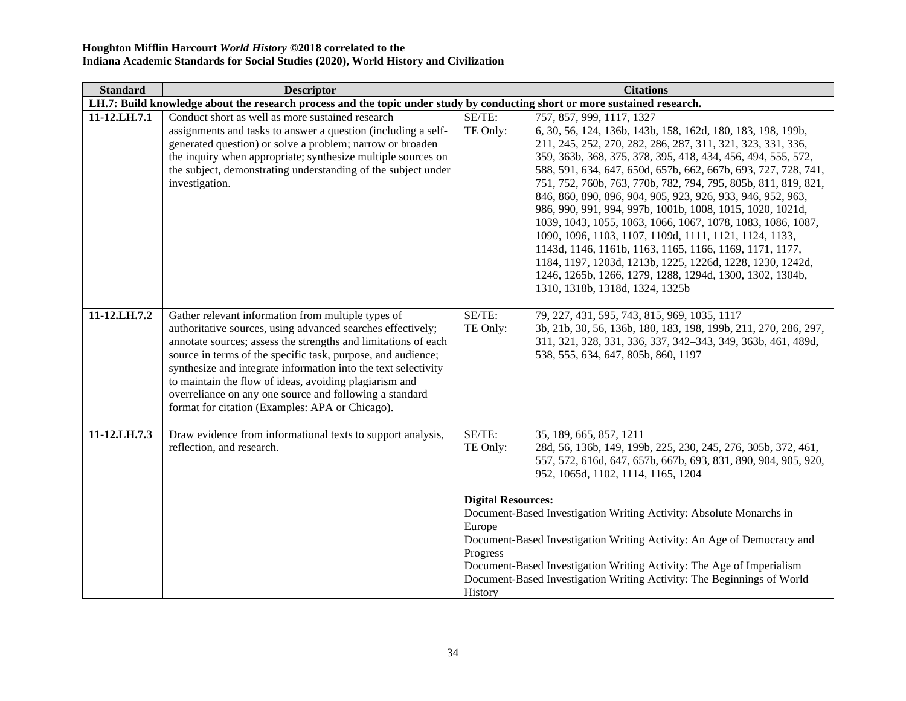| <b>Standard</b> | <b>Descriptor</b>                                                                                                                                                                                                                                                                                                                                                                                                                                                                             | <b>Citations</b>                                                                                                                                                                                                                                                                                                                                                                                                                                                                                                                                                                                                                                                                                                                                                                                                                                              |  |
|-----------------|-----------------------------------------------------------------------------------------------------------------------------------------------------------------------------------------------------------------------------------------------------------------------------------------------------------------------------------------------------------------------------------------------------------------------------------------------------------------------------------------------|---------------------------------------------------------------------------------------------------------------------------------------------------------------------------------------------------------------------------------------------------------------------------------------------------------------------------------------------------------------------------------------------------------------------------------------------------------------------------------------------------------------------------------------------------------------------------------------------------------------------------------------------------------------------------------------------------------------------------------------------------------------------------------------------------------------------------------------------------------------|--|
|                 | LH.7: Build knowledge about the research process and the topic under study by conducting short or more sustained research.                                                                                                                                                                                                                                                                                                                                                                    |                                                                                                                                                                                                                                                                                                                                                                                                                                                                                                                                                                                                                                                                                                                                                                                                                                                               |  |
| 11-12.LH.7.1    | Conduct short as well as more sustained research<br>assignments and tasks to answer a question (including a self-<br>generated question) or solve a problem; narrow or broaden<br>the inquiry when appropriate; synthesize multiple sources on<br>the subject, demonstrating understanding of the subject under<br>investigation.                                                                                                                                                             | SE/TE:<br>757, 857, 999, 1117, 1327<br>TE Only:<br>6, 30, 56, 124, 136b, 143b, 158, 162d, 180, 183, 198, 199b,<br>211, 245, 252, 270, 282, 286, 287, 311, 321, 323, 331, 336,<br>359, 363b, 368, 375, 378, 395, 418, 434, 456, 494, 555, 572,<br>588, 591, 634, 647, 650d, 657b, 662, 667b, 693, 727, 728, 741,<br>751, 752, 760b, 763, 770b, 782, 794, 795, 805b, 811, 819, 821,<br>846, 860, 890, 896, 904, 905, 923, 926, 933, 946, 952, 963,<br>986, 990, 991, 994, 997b, 1001b, 1008, 1015, 1020, 1021d,<br>1039, 1043, 1055, 1063, 1066, 1067, 1078, 1083, 1086, 1087,<br>1090, 1096, 1103, 1107, 1109d, 1111, 1121, 1124, 1133,<br>1143d, 1146, 1161b, 1163, 1165, 1166, 1169, 1171, 1177,<br>1184, 1197, 1203d, 1213b, 1225, 1226d, 1228, 1230, 1242d,<br>1246, 1265b, 1266, 1279, 1288, 1294d, 1300, 1302, 1304b,<br>1310, 1318b, 1318d, 1324, 1325b |  |
| 11-12.LH.7.2    | Gather relevant information from multiple types of<br>authoritative sources, using advanced searches effectively;<br>annotate sources; assess the strengths and limitations of each<br>source in terms of the specific task, purpose, and audience;<br>synthesize and integrate information into the text selectivity<br>to maintain the flow of ideas, avoiding plagiarism and<br>overreliance on any one source and following a standard<br>format for citation (Examples: APA or Chicago). | SE/TE:<br>79, 227, 431, 595, 743, 815, 969, 1035, 1117<br>TE Only:<br>3b, 21b, 30, 56, 136b, 180, 183, 198, 199b, 211, 270, 286, 297,<br>311, 321, 328, 331, 336, 337, 342-343, 349, 363b, 461, 489d,<br>538, 555, 634, 647, 805b, 860, 1197                                                                                                                                                                                                                                                                                                                                                                                                                                                                                                                                                                                                                  |  |
| 11-12.LH.7.3    | Draw evidence from informational texts to support analysis,<br>reflection, and research.                                                                                                                                                                                                                                                                                                                                                                                                      | SE/TE:<br>35, 189, 665, 857, 1211<br>28d, 56, 136b, 149, 199b, 225, 230, 245, 276, 305b, 372, 461,<br>TE Only:<br>557, 572, 616d, 647, 657b, 667b, 693, 831, 890, 904, 905, 920,<br>952, 1065d, 1102, 1114, 1165, 1204<br><b>Digital Resources:</b><br>Document-Based Investigation Writing Activity: Absolute Monarchs in<br>Europe<br>Document-Based Investigation Writing Activity: An Age of Democracy and<br>Progress<br>Document-Based Investigation Writing Activity: The Age of Imperialism<br>Document-Based Investigation Writing Activity: The Beginnings of World<br>History                                                                                                                                                                                                                                                                      |  |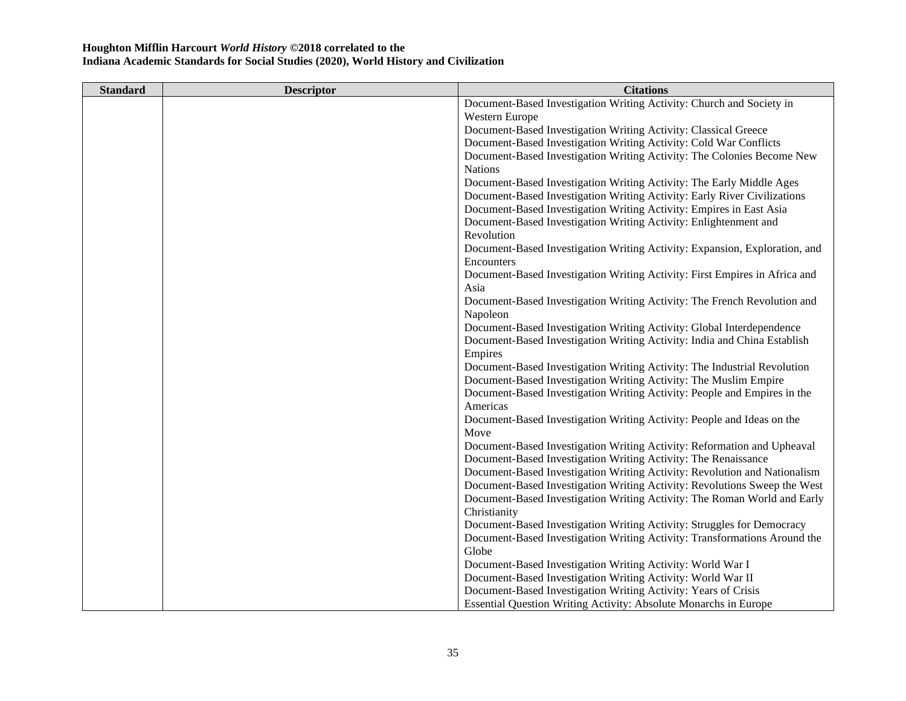| <b>Standard</b> | <b>Descriptor</b> | <b>Citations</b>                                                           |
|-----------------|-------------------|----------------------------------------------------------------------------|
|                 |                   | Document-Based Investigation Writing Activity: Church and Society in       |
|                 |                   | Western Europe                                                             |
|                 |                   | Document-Based Investigation Writing Activity: Classical Greece            |
|                 |                   | Document-Based Investigation Writing Activity: Cold War Conflicts          |
|                 |                   | Document-Based Investigation Writing Activity: The Colonies Become New     |
|                 |                   | <b>Nations</b>                                                             |
|                 |                   | Document-Based Investigation Writing Activity: The Early Middle Ages       |
|                 |                   | Document-Based Investigation Writing Activity: Early River Civilizations   |
|                 |                   | Document-Based Investigation Writing Activity: Empires in East Asia        |
|                 |                   | Document-Based Investigation Writing Activity: Enlightenment and           |
|                 |                   | Revolution                                                                 |
|                 |                   | Document-Based Investigation Writing Activity: Expansion, Exploration, and |
|                 |                   | Encounters                                                                 |
|                 |                   | Document-Based Investigation Writing Activity: First Empires in Africa and |
|                 |                   | Asia                                                                       |
|                 |                   | Document-Based Investigation Writing Activity: The French Revolution and   |
|                 |                   | Napoleon                                                                   |
|                 |                   | Document-Based Investigation Writing Activity: Global Interdependence      |
|                 |                   | Document-Based Investigation Writing Activity: India and China Establish   |
|                 |                   | Empires                                                                    |
|                 |                   | Document-Based Investigation Writing Activity: The Industrial Revolution   |
|                 |                   | Document-Based Investigation Writing Activity: The Muslim Empire           |
|                 |                   | Document-Based Investigation Writing Activity: People and Empires in the   |
|                 |                   | Americas                                                                   |
|                 |                   | Document-Based Investigation Writing Activity: People and Ideas on the     |
|                 |                   | Move                                                                       |
|                 |                   | Document-Based Investigation Writing Activity: Reformation and Upheaval    |
|                 |                   | Document-Based Investigation Writing Activity: The Renaissance             |
|                 |                   | Document-Based Investigation Writing Activity: Revolution and Nationalism  |
|                 |                   | Document-Based Investigation Writing Activity: Revolutions Sweep the West  |
|                 |                   | Document-Based Investigation Writing Activity: The Roman World and Early   |
|                 |                   | Christianity                                                               |
|                 |                   | Document-Based Investigation Writing Activity: Struggles for Democracy     |
|                 |                   | Document-Based Investigation Writing Activity: Transformations Around the  |
|                 |                   | Globe                                                                      |
|                 |                   | Document-Based Investigation Writing Activity: World War I                 |
|                 |                   | Document-Based Investigation Writing Activity: World War II                |
|                 |                   | Document-Based Investigation Writing Activity: Years of Crisis             |
|                 |                   | Essential Question Writing Activity: Absolute Monarchs in Europe           |